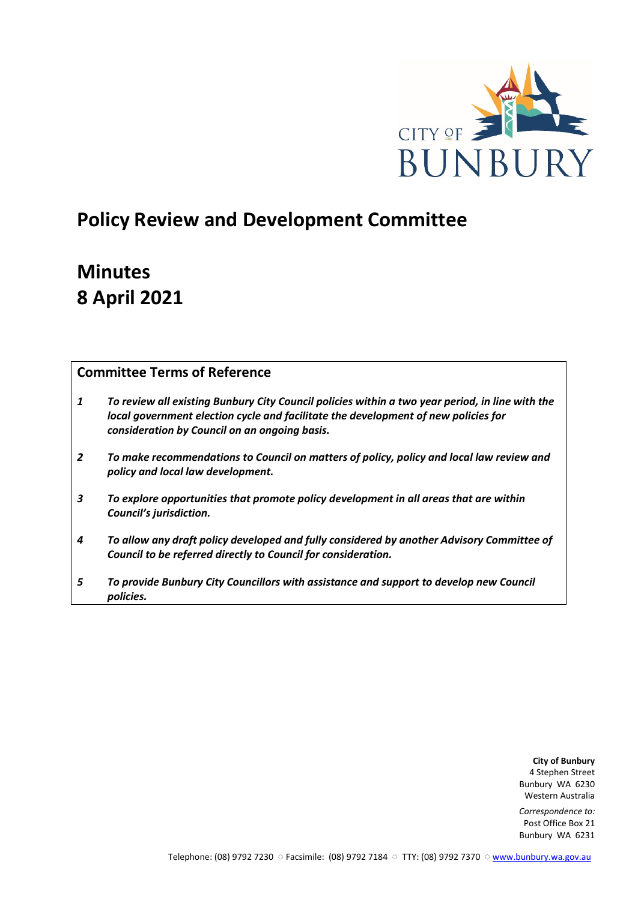

# **Policy Review and Development Committee**

# **Minutes 8 April 2021**

## **Committee Terms of Reference**

- *1 To review all existing Bunbury City Council policies within a two year period, in line with the local government election cycle and facilitate the development of new policies for consideration by Council on an ongoing basis.*
- *2 To make recommendations to Council on matters of policy, policy and local law review and policy and local law development.*
- *3 To explore opportunities that promote policy development in all areas that are within Council's jurisdiction.*
- *4 To allow any draft policy developed and fully considered by another Advisory Committee of Council to be referred directly to Council for consideration.*
- *5 To provide Bunbury City Councillors with assistance and support to develop new Council policies.*

**City of Bunbury** 4 Stephen Street Bunbury WA 6230 Western Australia

*Correspondence to:* Post Office Box 21 Bunbury WA 6231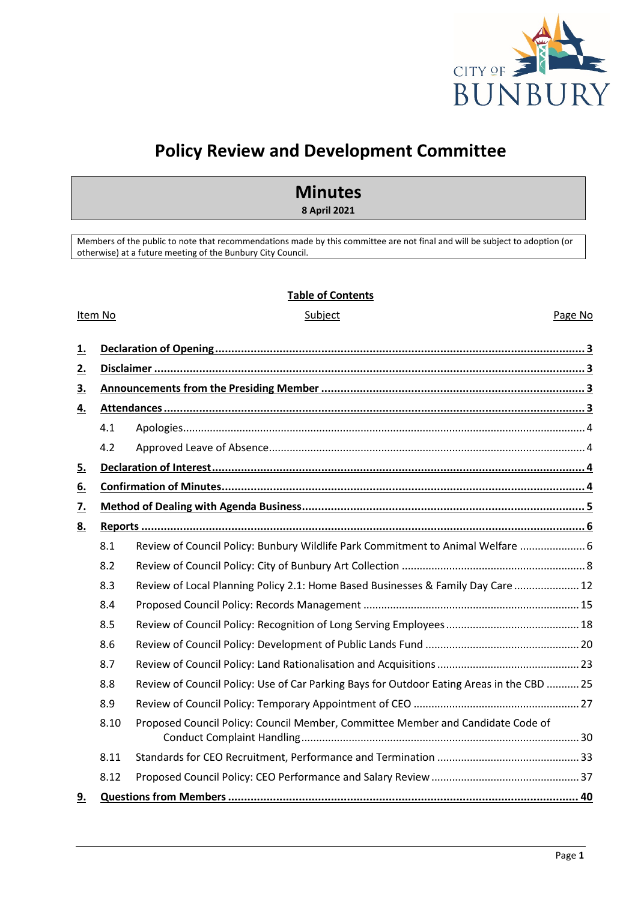

# **Policy Review and Development Committee**

# **Minutes**

**8 April 2021**

Members of the public to note that recommendations made by this committee are not final and will be subject to adoption (or otherwise) at a future meeting of the Bunbury City Council.

### **Table of Contents**

#### Item No **Subject** Subject **Page No. 2016**

| 1.        |      |                                                                                           |  |  |  |  |
|-----------|------|-------------------------------------------------------------------------------------------|--|--|--|--|
| 2.        |      |                                                                                           |  |  |  |  |
| 3.        |      |                                                                                           |  |  |  |  |
| <u>4.</u> |      |                                                                                           |  |  |  |  |
|           | 4.1  |                                                                                           |  |  |  |  |
|           | 4.2  |                                                                                           |  |  |  |  |
| 5.        |      |                                                                                           |  |  |  |  |
| <u>6.</u> |      |                                                                                           |  |  |  |  |
| <u>7.</u> |      |                                                                                           |  |  |  |  |
| <u>8.</u> |      |                                                                                           |  |  |  |  |
|           | 8.1  | Review of Council Policy: Bunbury Wildlife Park Commitment to Animal Welfare  6           |  |  |  |  |
|           | 8.2  |                                                                                           |  |  |  |  |
|           | 8.3  | Review of Local Planning Policy 2.1: Home Based Businesses & Family Day Care  12          |  |  |  |  |
|           | 8.4  |                                                                                           |  |  |  |  |
|           | 8.5  |                                                                                           |  |  |  |  |
|           | 8.6  |                                                                                           |  |  |  |  |
|           | 8.7  |                                                                                           |  |  |  |  |
|           | 8.8  | Review of Council Policy: Use of Car Parking Bays for Outdoor Eating Areas in the CBD  25 |  |  |  |  |
|           | 8.9  |                                                                                           |  |  |  |  |
|           | 8.10 | Proposed Council Policy: Council Member, Committee Member and Candidate Code of           |  |  |  |  |
|           | 8.11 |                                                                                           |  |  |  |  |
|           | 8.12 |                                                                                           |  |  |  |  |
| 9.        |      |                                                                                           |  |  |  |  |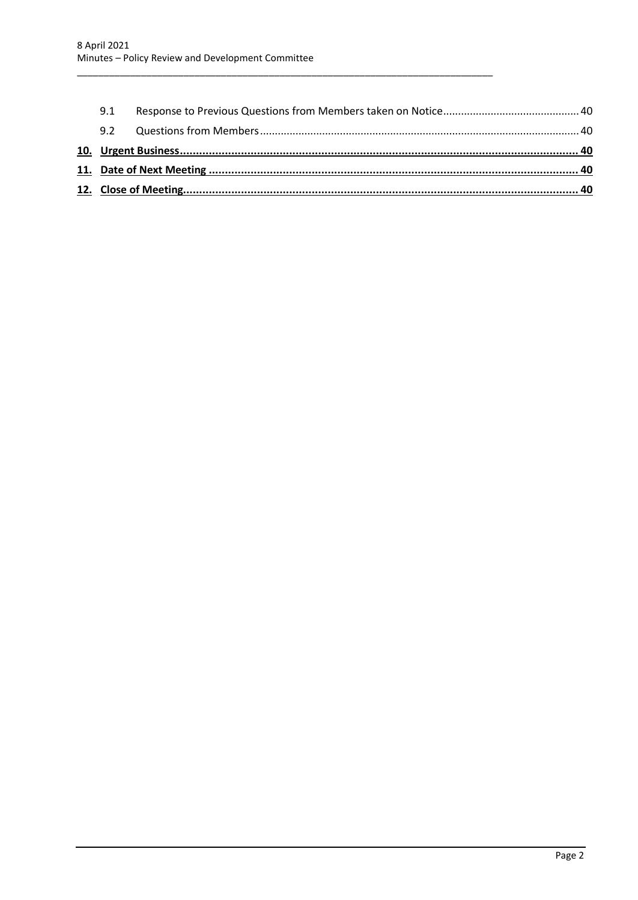| 9.1 |  |
|-----|--|
| 9.2 |  |
|     |  |
|     |  |
|     |  |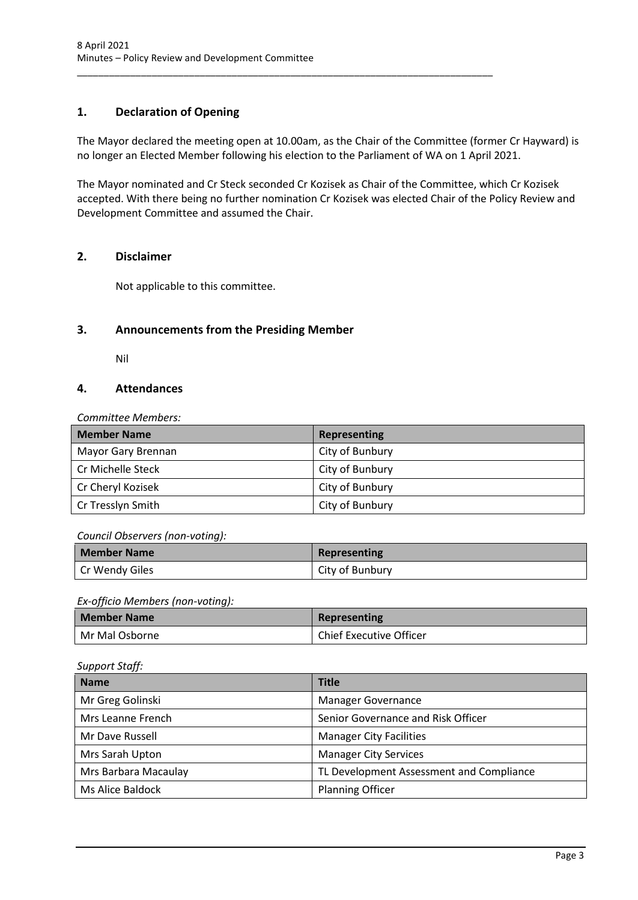## <span id="page-3-0"></span>**1. Declaration of Opening**

The Mayor declared the meeting open at 10.00am, as the Chair of the Committee (former Cr Hayward) is no longer an Elected Member following his election to the Parliament of WA on 1 April 2021.

\_\_\_\_\_\_\_\_\_\_\_\_\_\_\_\_\_\_\_\_\_\_\_\_\_\_\_\_\_\_\_\_\_\_\_\_\_\_\_\_\_\_\_\_\_\_\_\_\_\_\_\_\_\_\_\_\_\_\_\_\_\_\_\_\_\_\_\_\_\_\_\_\_\_\_\_\_\_

The Mayor nominated and Cr Steck seconded Cr Kozisek as Chair of the Committee, which Cr Kozisek accepted. With there being no further nomination Cr Kozisek was elected Chair of the Policy Review and Development Committee and assumed the Chair.

## <span id="page-3-1"></span>**2. Disclaimer**

Not applicable to this committee.

## <span id="page-3-2"></span>**3. Announcements from the Presiding Member**

Nil

## <span id="page-3-3"></span>**4. Attendances**

*Committee Members:*

| <b>Member Name</b> | <b>Representing</b> |
|--------------------|---------------------|
| Mayor Gary Brennan | City of Bunbury     |
| Cr Michelle Steck  | City of Bunbury     |
| Cr Cheryl Kozisek  | City of Bunbury     |
| Cr Tresslyn Smith  | City of Bunbury     |

### *Council Observers (non-voting):*

| <b>Member Name</b> | Representing    |
|--------------------|-----------------|
| Cr Wendy Giles     | City of Bunbury |

### *Ex-officio Members (non-voting):*

| <b>Member Name</b> | Representing                   |
|--------------------|--------------------------------|
| I Mr Mal Osborne   | <b>Chief Executive Officer</b> |

### *Support Staff:*

| <b>Name</b>          | <b>Title</b>                             |
|----------------------|------------------------------------------|
| Mr Greg Golinski     | <b>Manager Governance</b>                |
| Mrs Leanne French    | Senior Governance and Risk Officer       |
| Mr Dave Russell      | <b>Manager City Facilities</b>           |
| Mrs Sarah Upton      | <b>Manager City Services</b>             |
| Mrs Barbara Macaulay | TL Development Assessment and Compliance |
| Ms Alice Baldock     | <b>Planning Officer</b>                  |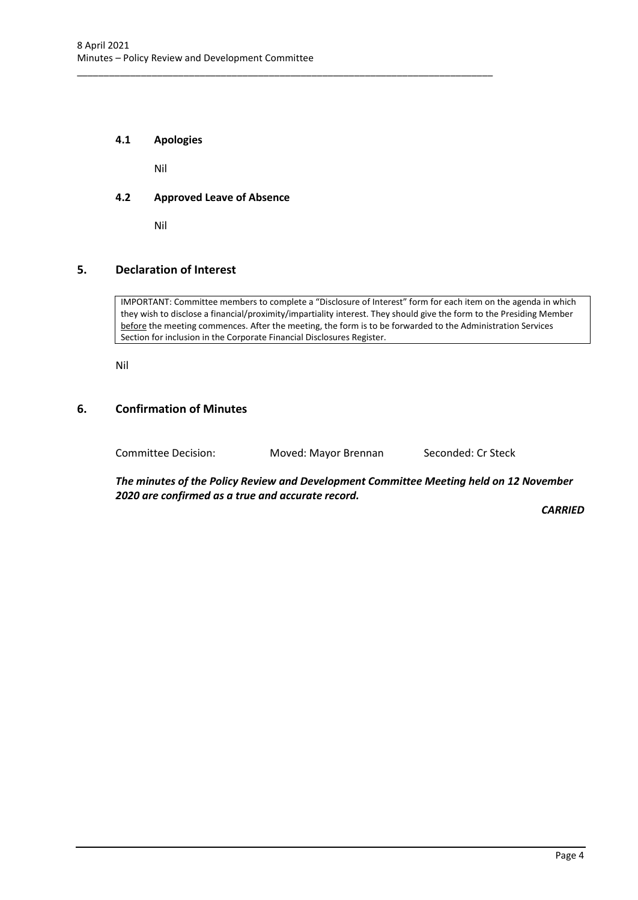### <span id="page-4-0"></span>**4.1 Apologies**

Nil

### <span id="page-4-1"></span>**4.2 Approved Leave of Absence**

Nil

### <span id="page-4-2"></span>**5. Declaration of Interest**

IMPORTANT: Committee members to complete a "Disclosure of Interest" form for each item on the agenda in which they wish to disclose a financial/proximity/impartiality interest. They should give the form to the Presiding Member before the meeting commences. After the meeting, the form is to be forwarded to the Administration Services Section for inclusion in the Corporate Financial Disclosures Register.

Nil

### <span id="page-4-3"></span>**6. Confirmation of Minutes**

Committee Decision: Moved: Mayor Brennan Seconded: Cr Steck

\_\_\_\_\_\_\_\_\_\_\_\_\_\_\_\_\_\_\_\_\_\_\_\_\_\_\_\_\_\_\_\_\_\_\_\_\_\_\_\_\_\_\_\_\_\_\_\_\_\_\_\_\_\_\_\_\_\_\_\_\_\_\_\_\_\_\_\_\_\_\_\_\_\_\_\_\_\_

*The minutes of the Policy Review and Development Committee Meeting held on 12 November 2020 are confirmed as a true and accurate record.*

*CARRIED*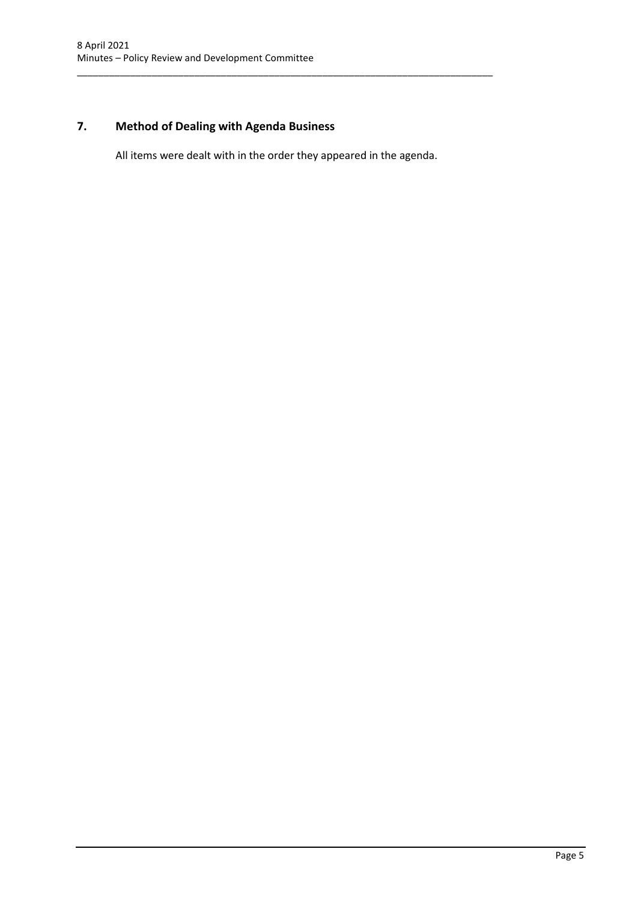## <span id="page-5-0"></span>**7. Method of Dealing with Agenda Business**

All items were dealt with in the order they appeared in the agenda.

\_\_\_\_\_\_\_\_\_\_\_\_\_\_\_\_\_\_\_\_\_\_\_\_\_\_\_\_\_\_\_\_\_\_\_\_\_\_\_\_\_\_\_\_\_\_\_\_\_\_\_\_\_\_\_\_\_\_\_\_\_\_\_\_\_\_\_\_\_\_\_\_\_\_\_\_\_\_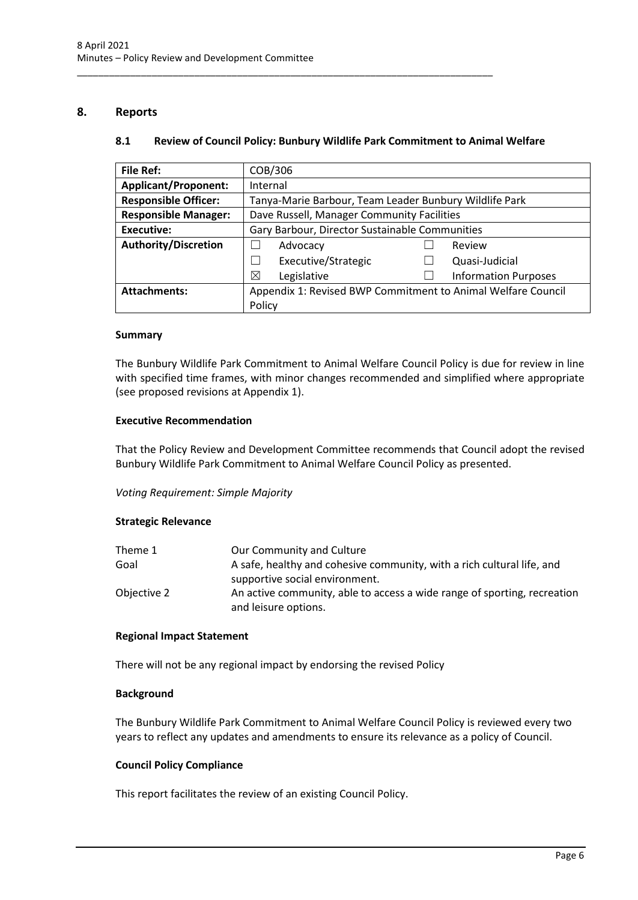### <span id="page-6-1"></span><span id="page-6-0"></span>**8. Reports**

### **8.1 Review of Council Policy: Bunbury Wildlife Park Commitment to Animal Welfare**

\_\_\_\_\_\_\_\_\_\_\_\_\_\_\_\_\_\_\_\_\_\_\_\_\_\_\_\_\_\_\_\_\_\_\_\_\_\_\_\_\_\_\_\_\_\_\_\_\_\_\_\_\_\_\_\_\_\_\_\_\_\_\_\_\_\_\_\_\_\_\_\_\_\_\_\_\_\_

| <b>File Ref:</b>            | COB/306                                                      |  |                             |
|-----------------------------|--------------------------------------------------------------|--|-----------------------------|
| <b>Applicant/Proponent:</b> | Internal                                                     |  |                             |
| <b>Responsible Officer:</b> | Tanya-Marie Barbour, Team Leader Bunbury Wildlife Park       |  |                             |
| <b>Responsible Manager:</b> | Dave Russell, Manager Community Facilities                   |  |                             |
| <b>Executive:</b>           | Gary Barbour, Director Sustainable Communities               |  |                             |
| <b>Authority/Discretion</b> | Advocacy                                                     |  | Review                      |
|                             | Executive/Strategic                                          |  | Quasi-Judicial              |
|                             | Legislative<br>⊠                                             |  | <b>Information Purposes</b> |
| <b>Attachments:</b>         | Appendix 1: Revised BWP Commitment to Animal Welfare Council |  |                             |
|                             | Policy                                                       |  |                             |

#### **Summary**

The Bunbury Wildlife Park Commitment to Animal Welfare Council Policy is due for review in line with specified time frames, with minor changes recommended and simplified where appropriate (see proposed revisions at Appendix 1).

### **Executive Recommendation**

That the Policy Review and Development Committee recommends that Council adopt the revised Bunbury Wildlife Park Commitment to Animal Welfare Council Policy as presented.

*Voting Requirement: Simple Majority*

#### **Strategic Relevance**

| Theme 1     | Our Community and Culture                                                |
|-------------|--------------------------------------------------------------------------|
| Goal        | A safe, healthy and cohesive community, with a rich cultural life, and   |
|             | supportive social environment.                                           |
| Objective 2 | An active community, able to access a wide range of sporting, recreation |
|             | and leisure options.                                                     |

#### **Regional Impact Statement**

There will not be any regional impact by endorsing the revised Policy

#### **Background**

The Bunbury Wildlife Park Commitment to Animal Welfare Council Policy is reviewed every two years to reflect any updates and amendments to ensure its relevance as a policy of Council.

### **Council Policy Compliance**

This report facilitates the review of an existing Council Policy.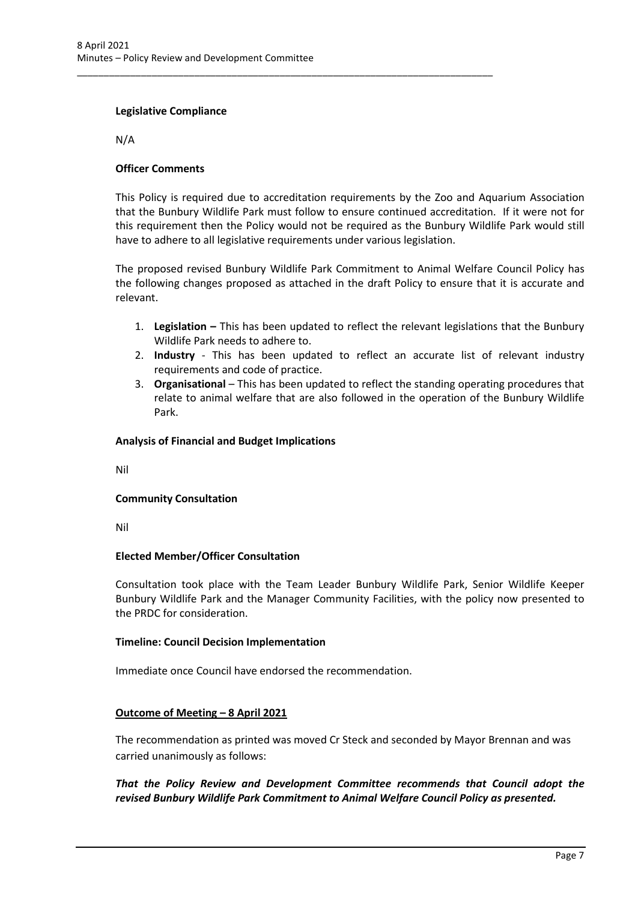\_\_\_\_\_\_\_\_\_\_\_\_\_\_\_\_\_\_\_\_\_\_\_\_\_\_\_\_\_\_\_\_\_\_\_\_\_\_\_\_\_\_\_\_\_\_\_\_\_\_\_\_\_\_\_\_\_\_\_\_\_\_\_\_\_\_\_\_\_\_\_\_\_\_\_\_\_\_

### **Legislative Compliance**

N/A

### **Officer Comments**

This Policy is required due to accreditation requirements by the Zoo and Aquarium Association that the Bunbury Wildlife Park must follow to ensure continued accreditation. If it were not for this requirement then the Policy would not be required as the Bunbury Wildlife Park would still have to adhere to all legislative requirements under various legislation.

The proposed revised Bunbury Wildlife Park Commitment to Animal Welfare Council Policy has the following changes proposed as attached in the draft Policy to ensure that it is accurate and relevant.

- 1. **Legislation –** This has been updated to reflect the relevant legislations that the Bunbury Wildlife Park needs to adhere to.
- 2. **Industry** This has been updated to reflect an accurate list of relevant industry requirements and code of practice.
- 3. **Organisational** This has been updated to reflect the standing operating procedures that relate to animal welfare that are also followed in the operation of the Bunbury Wildlife Park.

### **Analysis of Financial and Budget Implications**

Nil

### **Community Consultation**

Nil

#### **Elected Member/Officer Consultation**

Consultation took place with the Team Leader Bunbury Wildlife Park, Senior Wildlife Keeper Bunbury Wildlife Park and the Manager Community Facilities, with the policy now presented to the PRDC for consideration.

#### **Timeline: Council Decision Implementation**

Immediate once Council have endorsed the recommendation.

#### **Outcome of Meeting – 8 April 2021**

The recommendation as printed was moved Cr Steck and seconded by Mayor Brennan and was carried unanimously as follows:

### *That the Policy Review and Development Committee recommends that Council adopt the revised Bunbury Wildlife Park Commitment to Animal Welfare Council Policy as presented.*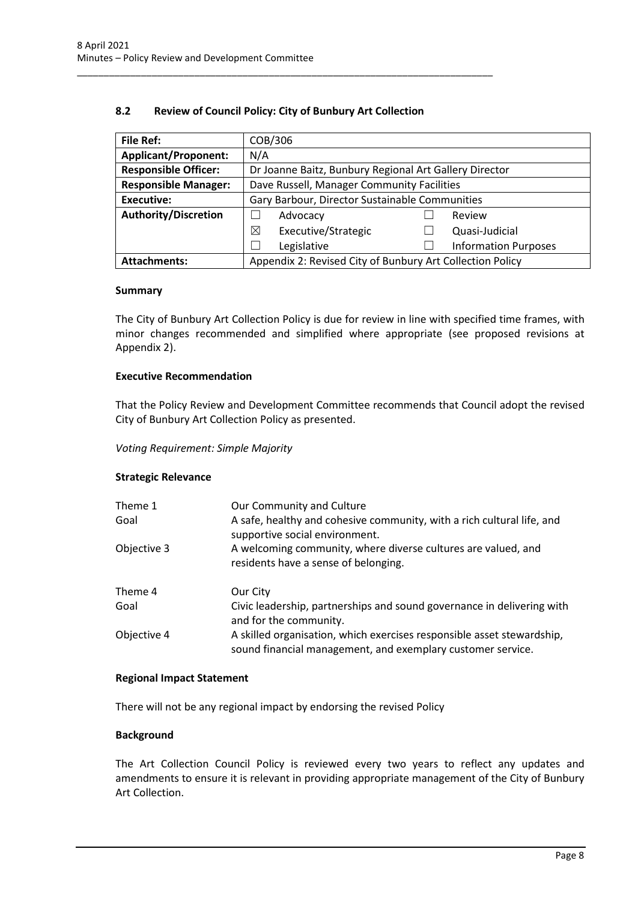### **8.2 Review of Council Policy: City of Bunbury Art Collection**

<span id="page-8-0"></span>\_\_\_\_\_\_\_\_\_\_\_\_\_\_\_\_\_\_\_\_\_\_\_\_\_\_\_\_\_\_\_\_\_\_\_\_\_\_\_\_\_\_\_\_\_\_\_\_\_\_\_\_\_\_\_\_\_\_\_\_\_\_\_\_\_\_\_\_\_\_\_\_\_\_\_\_\_\_

| <b>File Ref:</b>            | COB/306                                                   |  |                             |
|-----------------------------|-----------------------------------------------------------|--|-----------------------------|
| <b>Applicant/Proponent:</b> | N/A                                                       |  |                             |
| <b>Responsible Officer:</b> | Dr Joanne Baitz, Bunbury Regional Art Gallery Director    |  |                             |
| <b>Responsible Manager:</b> | Dave Russell, Manager Community Facilities                |  |                             |
| Executive:                  | Gary Barbour, Director Sustainable Communities            |  |                             |
| <b>Authority/Discretion</b> | Advocacy<br>Review                                        |  |                             |
|                             | ⊠<br>Executive/Strategic                                  |  | Quasi-Judicial              |
|                             | Legislative                                               |  | <b>Information Purposes</b> |
| <b>Attachments:</b>         | Appendix 2: Revised City of Bunbury Art Collection Policy |  |                             |

#### **Summary**

The City of Bunbury Art Collection Policy is due for review in line with specified time frames, with minor changes recommended and simplified where appropriate (see proposed revisions at Appendix 2).

#### **Executive Recommendation**

That the Policy Review and Development Committee recommends that Council adopt the revised City of Bunbury Art Collection Policy as presented.

### *Voting Requirement: Simple Majority*

#### **Strategic Relevance**

| Theme 1<br>Goal | Our Community and Culture<br>A safe, healthy and cohesive community, with a rich cultural life, and<br>supportive social environment. |
|-----------------|---------------------------------------------------------------------------------------------------------------------------------------|
| Objective 3     | A welcoming community, where diverse cultures are valued, and<br>residents have a sense of belonging.                                 |
| Theme 4         | Our City                                                                                                                              |
| Goal            | Civic leadership, partnerships and sound governance in delivering with<br>and for the community.                                      |
| Objective 4     | A skilled organisation, which exercises responsible asset stewardship,<br>sound financial management, and exemplary customer service. |

#### **Regional Impact Statement**

There will not be any regional impact by endorsing the revised Policy

### **Background**

The Art Collection Council Policy is reviewed every two years to reflect any updates and amendments to ensure it is relevant in providing appropriate management of the City of Bunbury Art Collection.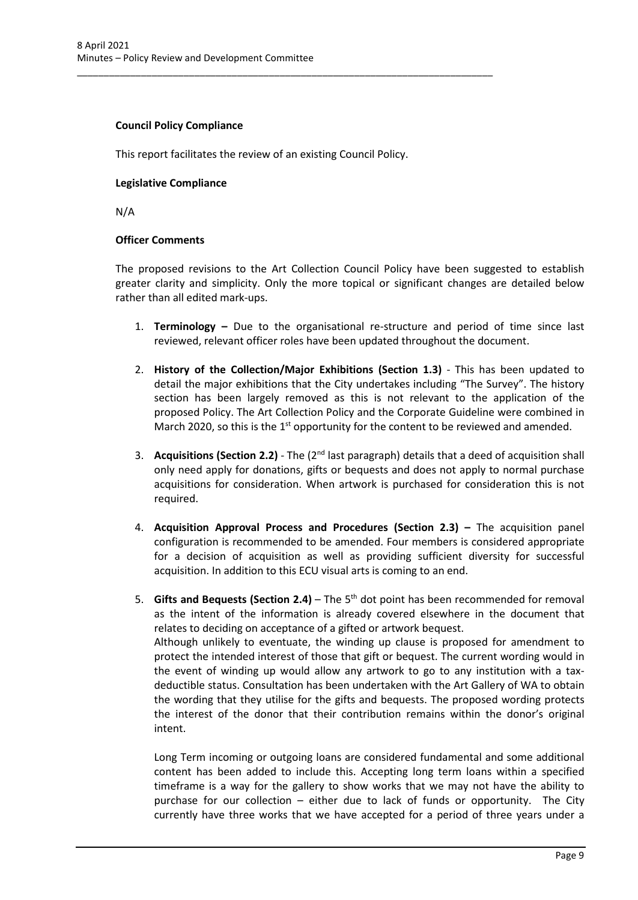### **Council Policy Compliance**

This report facilitates the review of an existing Council Policy.

\_\_\_\_\_\_\_\_\_\_\_\_\_\_\_\_\_\_\_\_\_\_\_\_\_\_\_\_\_\_\_\_\_\_\_\_\_\_\_\_\_\_\_\_\_\_\_\_\_\_\_\_\_\_\_\_\_\_\_\_\_\_\_\_\_\_\_\_\_\_\_\_\_\_\_\_\_\_

### **Legislative Compliance**

N/A

### **Officer Comments**

The proposed revisions to the Art Collection Council Policy have been suggested to establish greater clarity and simplicity. Only the more topical or significant changes are detailed below rather than all edited mark-ups.

- 1. **Terminology –** Due to the organisational re-structure and period of time since last reviewed, relevant officer roles have been updated throughout the document.
- 2. **History of the Collection/Major Exhibitions (Section 1.3)** This has been updated to detail the major exhibitions that the City undertakes including "The Survey". The history section has been largely removed as this is not relevant to the application of the proposed Policy. The Art Collection Policy and the Corporate Guideline were combined in March 2020, so this is the  $1<sup>st</sup>$  opportunity for the content to be reviewed and amended.
- 3. **Acquisitions (Section 2.2)** The (2nd last paragraph) details that a deed of acquisition shall only need apply for donations, gifts or bequests and does not apply to normal purchase acquisitions for consideration. When artwork is purchased for consideration this is not required.
- 4. **Acquisition Approval Process and Procedures (Section 2.3) –** The acquisition panel configuration is recommended to be amended. Four members is considered appropriate for a decision of acquisition as well as providing sufficient diversity for successful acquisition. In addition to this ECU visual arts is coming to an end.
- 5. **Gifts and Bequests (Section 2.4)** The 5th dot point has been recommended for removal as the intent of the information is already covered elsewhere in the document that relates to deciding on acceptance of a gifted or artwork bequest. Although unlikely to eventuate, the winding up clause is proposed for amendment to protect the intended interest of those that gift or bequest. The current wording would in the event of winding up would allow any artwork to go to any institution with a taxdeductible status. Consultation has been undertaken with the Art Gallery of WA to obtain the wording that they utilise for the gifts and bequests. The proposed wording protects the interest of the donor that their contribution remains within the donor's original intent.

Long Term incoming or outgoing loans are considered fundamental and some additional content has been added to include this. Accepting long term loans within a specified timeframe is a way for the gallery to show works that we may not have the ability to purchase for our collection – either due to lack of funds or opportunity. The City currently have three works that we have accepted for a period of three years under a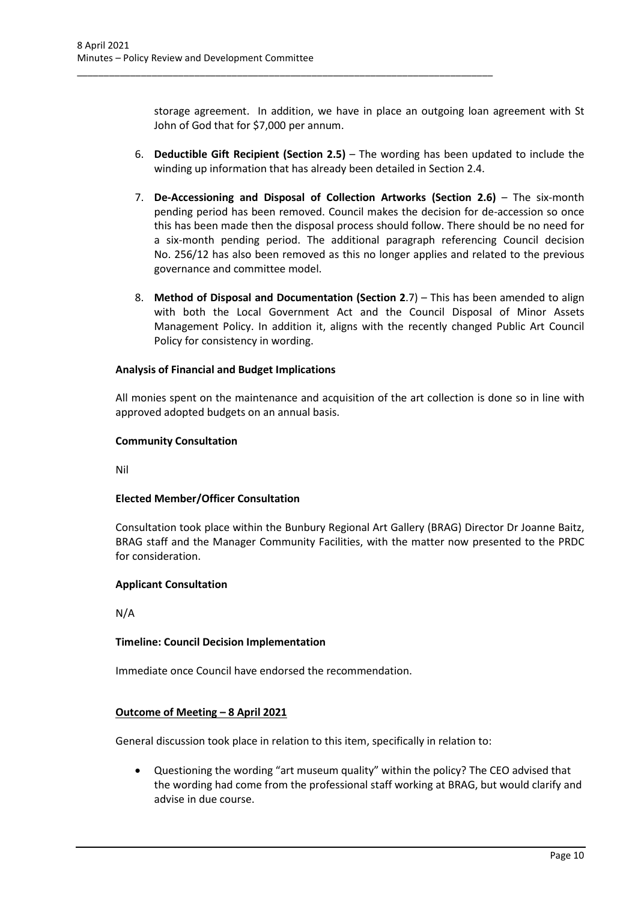\_\_\_\_\_\_\_\_\_\_\_\_\_\_\_\_\_\_\_\_\_\_\_\_\_\_\_\_\_\_\_\_\_\_\_\_\_\_\_\_\_\_\_\_\_\_\_\_\_\_\_\_\_\_\_\_\_\_\_\_\_\_\_\_\_\_\_\_\_\_\_\_\_\_\_\_\_\_

storage agreement. In addition, we have in place an outgoing loan agreement with St John of God that for \$7,000 per annum.

- 6. **Deductible Gift Recipient (Section 2.5)** The wording has been updated to include the winding up information that has already been detailed in Section 2.4.
- 7. **De-Accessioning and Disposal of Collection Artworks (Section 2.6)** The six-month pending period has been removed. Council makes the decision for de-accession so once this has been made then the disposal process should follow. There should be no need for a six-month pending period. The additional paragraph referencing Council decision No. 256/12 has also been removed as this no longer applies and related to the previous governance and committee model.
- 8. **Method of Disposal and Documentation (Section 2**.7) This has been amended to align with both the Local Government Act and the Council Disposal of Minor Assets Management Policy. In addition it, aligns with the recently changed Public Art Council Policy for consistency in wording.

### **Analysis of Financial and Budget Implications**

All monies spent on the maintenance and acquisition of the art collection is done so in line with approved adopted budgets on an annual basis.

#### **Community Consultation**

Nil

### **Elected Member/Officer Consultation**

Consultation took place within the Bunbury Regional Art Gallery (BRAG) Director Dr Joanne Baitz, BRAG staff and the Manager Community Facilities, with the matter now presented to the PRDC for consideration.

#### **Applicant Consultation**

N/A

### **Timeline: Council Decision Implementation**

Immediate once Council have endorsed the recommendation.

#### **Outcome of Meeting – 8 April 2021**

General discussion took place in relation to this item, specifically in relation to:

• Questioning the wording "art museum quality" within the policy? The CEO advised that the wording had come from the professional staff working at BRAG, but would clarify and advise in due course.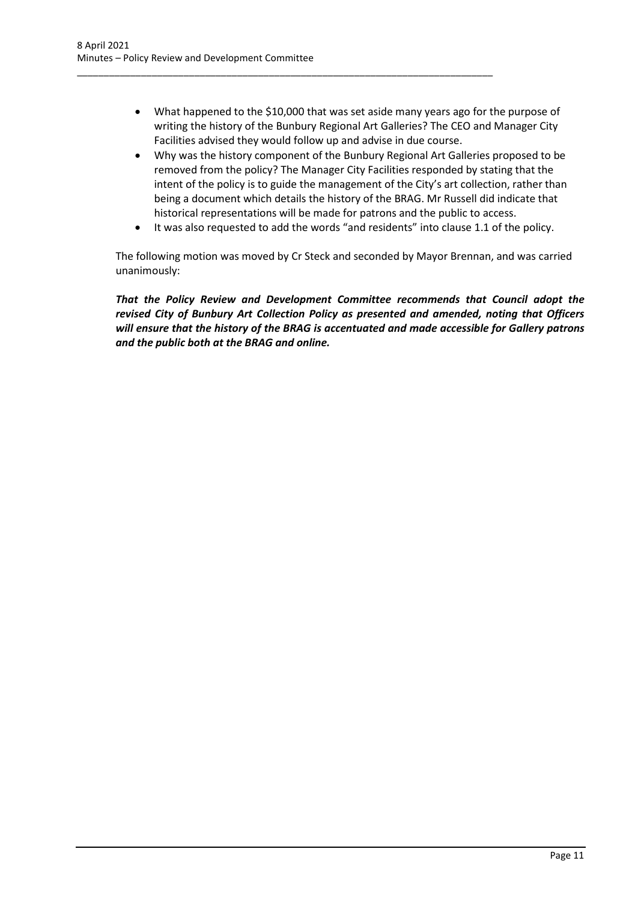• What happened to the \$10,000 that was set aside many years ago for the purpose of writing the history of the Bunbury Regional Art Galleries? The CEO and Manager City Facilities advised they would follow up and advise in due course.

\_\_\_\_\_\_\_\_\_\_\_\_\_\_\_\_\_\_\_\_\_\_\_\_\_\_\_\_\_\_\_\_\_\_\_\_\_\_\_\_\_\_\_\_\_\_\_\_\_\_\_\_\_\_\_\_\_\_\_\_\_\_\_\_\_\_\_\_\_\_\_\_\_\_\_\_\_\_

- Why was the history component of the Bunbury Regional Art Galleries proposed to be removed from the policy? The Manager City Facilities responded by stating that the intent of the policy is to guide the management of the City's art collection, rather than being a document which details the history of the BRAG. Mr Russell did indicate that historical representations will be made for patrons and the public to access.
- It was also requested to add the words "and residents" into clause 1.1 of the policy.

The following motion was moved by Cr Steck and seconded by Mayor Brennan, and was carried unanimously:

*That the Policy Review and Development Committee recommends that Council adopt the revised City of Bunbury Art Collection Policy as presented and amended, noting that Officers will ensure that the history of the BRAG is accentuated and made accessible for Gallery patrons and the public both at the BRAG and online.*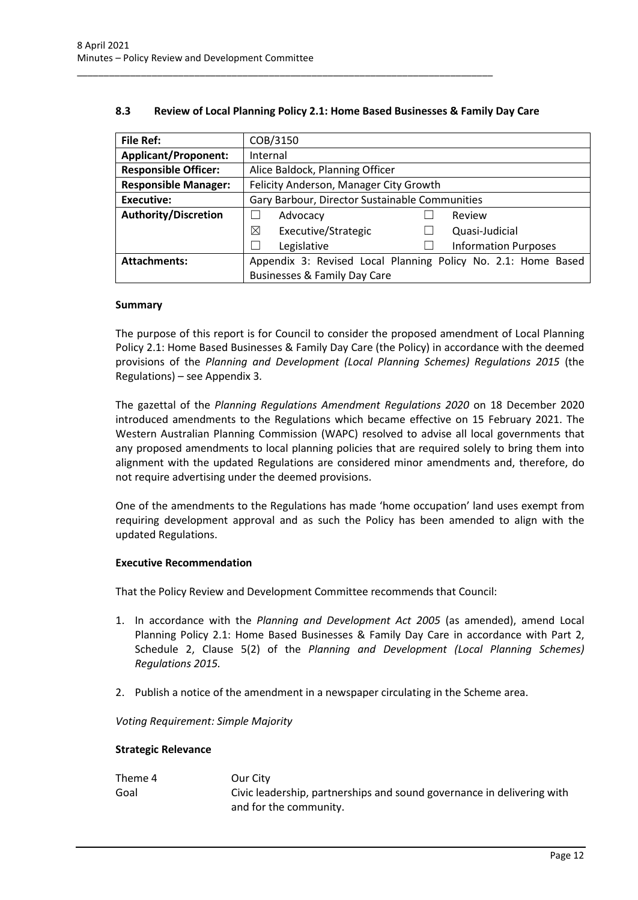| <b>File Ref:</b>            | COB/3150                                                      |  |                             |
|-----------------------------|---------------------------------------------------------------|--|-----------------------------|
| <b>Applicant/Proponent:</b> | Internal                                                      |  |                             |
| <b>Responsible Officer:</b> | Alice Baldock, Planning Officer                               |  |                             |
| <b>Responsible Manager:</b> | Felicity Anderson, Manager City Growth                        |  |                             |
| Executive:                  | Gary Barbour, Director Sustainable Communities                |  |                             |
| <b>Authority/Discretion</b> | Advocacy                                                      |  | Review                      |
|                             | ⊠<br>Executive/Strategic                                      |  | Quasi-Judicial              |
|                             | Legislative                                                   |  | <b>Information Purposes</b> |
| <b>Attachments:</b>         | Appendix 3: Revised Local Planning Policy No. 2.1: Home Based |  |                             |
|                             | <b>Businesses &amp; Family Day Care</b>                       |  |                             |

### **8.3 Review of Local Planning Policy 2.1: Home Based Businesses & Family Day Care**

<span id="page-12-0"></span>\_\_\_\_\_\_\_\_\_\_\_\_\_\_\_\_\_\_\_\_\_\_\_\_\_\_\_\_\_\_\_\_\_\_\_\_\_\_\_\_\_\_\_\_\_\_\_\_\_\_\_\_\_\_\_\_\_\_\_\_\_\_\_\_\_\_\_\_\_\_\_\_\_\_\_\_\_\_

#### **Summary**

The purpose of this report is for Council to consider the proposed amendment of Local Planning Policy 2.1: Home Based Businesses & Family Day Care (the Policy) in accordance with the deemed provisions of the *Planning and Development (Local Planning Schemes) Regulations 2015* (the Regulations) – see Appendix 3*.* 

The gazettal of the *Planning Regulations Amendment Regulations 2020* on 18 December 2020 introduced amendments to the Regulations which became effective on 15 February 2021. The Western Australian Planning Commission (WAPC) resolved to advise all local governments that any proposed amendments to local planning policies that are required solely to bring them into alignment with the updated Regulations are considered minor amendments and, therefore, do not require advertising under the deemed provisions.

One of the amendments to the Regulations has made 'home occupation' land uses exempt from requiring development approval and as such the Policy has been amended to align with the updated Regulations.

#### **Executive Recommendation**

That the Policy Review and Development Committee recommends that Council:

- 1. In accordance with the *Planning and Development Act 2005* (as amended), amend Local Planning Policy 2.1: Home Based Businesses & Family Day Care in accordance with Part 2, Schedule 2, Clause 5(2) of the *Planning and Development (Local Planning Schemes) Regulations 2015.*
- 2. Publish a notice of the amendment in a newspaper circulating in the Scheme area.

*Voting Requirement: Simple Majority* 

#### **Strategic Relevance**

| Theme 4 | Our City                                                               |
|---------|------------------------------------------------------------------------|
| Goal    | Civic leadership, partnerships and sound governance in delivering with |
|         | and for the community.                                                 |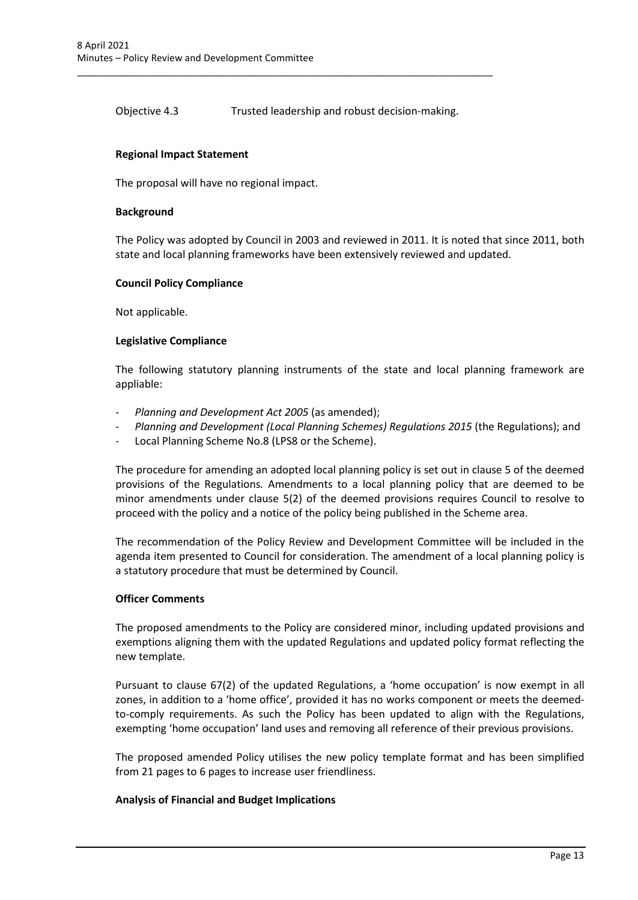Objective 4.3 Trusted leadership and robust decision-making.

\_\_\_\_\_\_\_\_\_\_\_\_\_\_\_\_\_\_\_\_\_\_\_\_\_\_\_\_\_\_\_\_\_\_\_\_\_\_\_\_\_\_\_\_\_\_\_\_\_\_\_\_\_\_\_\_\_\_\_\_\_\_\_\_\_\_\_\_\_\_\_\_\_\_\_\_\_\_

### **Regional Impact Statement**

The proposal will have no regional impact.

#### **Background**

The Policy was adopted by Council in 2003 and reviewed in 2011. It is noted that since 2011, both state and local planning frameworks have been extensively reviewed and updated.

#### **Council Policy Compliance**

Not applicable.

#### **Legislative Compliance**

The following statutory planning instruments of the state and local planning framework are appliable:

- *Planning and Development Act 2005* (as amended);
- Planning and Development (Local Planning Schemes) Regulations 2015 (the Regulations); and
- Local Planning Scheme No.8 (LPS8 or the Scheme).

The procedure for amending an adopted local planning policy is set out in clause 5 of the deemed provisions of the Regulations*.* Amendments to a local planning policy that are deemed to be minor amendments under clause 5(2) of the deemed provisions requires Council to resolve to proceed with the policy and a notice of the policy being published in the Scheme area.

The recommendation of the Policy Review and Development Committee will be included in the agenda item presented to Council for consideration. The amendment of a local planning policy is a statutory procedure that must be determined by Council.

#### **Officer Comments**

The proposed amendments to the Policy are considered minor, including updated provisions and exemptions aligning them with the updated Regulations and updated policy format reflecting the new template.

Pursuant to clause 67(2) of the updated Regulations, a 'home occupation' is now exempt in all zones, in addition to a 'home office', provided it has no works component or meets the deemedto-comply requirements. As such the Policy has been updated to align with the Regulations, exempting 'home occupation' land uses and removing all reference of their previous provisions.

The proposed amended Policy utilises the new policy template format and has been simplified from 21 pages to 6 pages to increase user friendliness.

#### **Analysis of Financial and Budget Implications**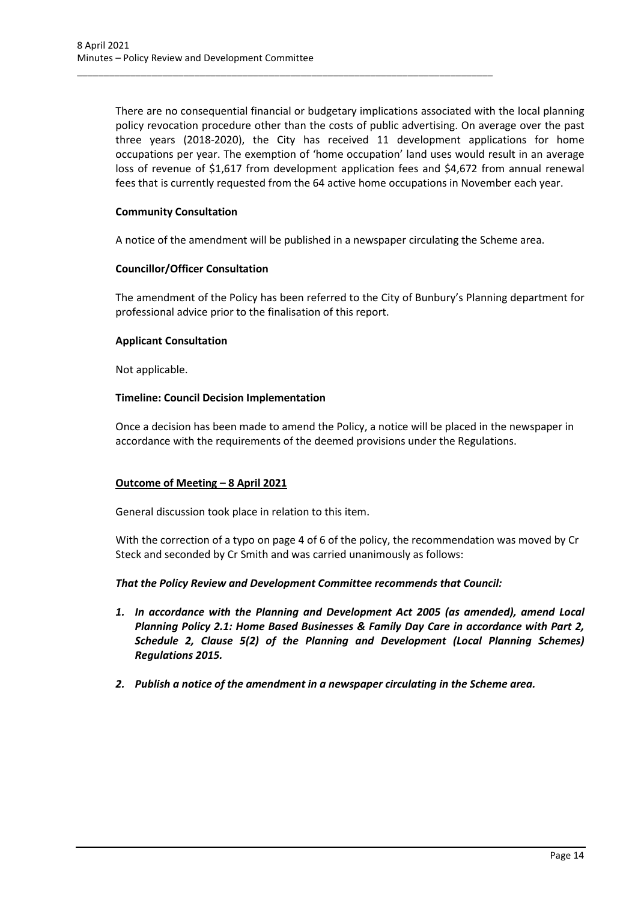There are no consequential financial or budgetary implications associated with the local planning policy revocation procedure other than the costs of public advertising. On average over the past three years (2018-2020), the City has received 11 development applications for home occupations per year. The exemption of 'home occupation' land uses would result in an average loss of revenue of \$1,617 from development application fees and \$4,672 from annual renewal fees that is currently requested from the 64 active home occupations in November each year.

### **Community Consultation**

A notice of the amendment will be published in a newspaper circulating the Scheme area.

\_\_\_\_\_\_\_\_\_\_\_\_\_\_\_\_\_\_\_\_\_\_\_\_\_\_\_\_\_\_\_\_\_\_\_\_\_\_\_\_\_\_\_\_\_\_\_\_\_\_\_\_\_\_\_\_\_\_\_\_\_\_\_\_\_\_\_\_\_\_\_\_\_\_\_\_\_\_

### **Councillor/Officer Consultation**

The amendment of the Policy has been referred to the City of Bunbury's Planning department for professional advice prior to the finalisation of this report.

### **Applicant Consultation**

Not applicable.

### **Timeline: Council Decision Implementation**

Once a decision has been made to amend the Policy, a notice will be placed in the newspaper in accordance with the requirements of the deemed provisions under the Regulations.

### **Outcome of Meeting – 8 April 2021**

General discussion took place in relation to this item.

With the correction of a typo on page 4 of 6 of the policy, the recommendation was moved by Cr Steck and seconded by Cr Smith and was carried unanimously as follows:

### *That the Policy Review and Development Committee recommends that Council:*

- *1. In accordance with the Planning and Development Act 2005 (as amended), amend Local Planning Policy 2.1: Home Based Businesses & Family Day Care in accordance with Part 2, Schedule 2, Clause 5(2) of the Planning and Development (Local Planning Schemes) Regulations 2015.*
- *2. Publish a notice of the amendment in a newspaper circulating in the Scheme area.*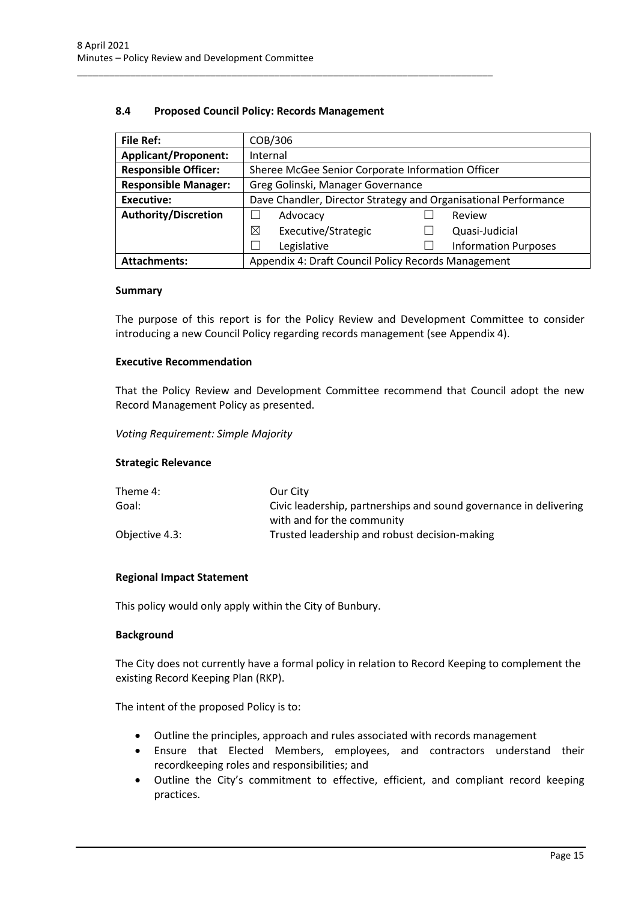### **8.4 Proposed Council Policy: Records Management**

<span id="page-15-0"></span>\_\_\_\_\_\_\_\_\_\_\_\_\_\_\_\_\_\_\_\_\_\_\_\_\_\_\_\_\_\_\_\_\_\_\_\_\_\_\_\_\_\_\_\_\_\_\_\_\_\_\_\_\_\_\_\_\_\_\_\_\_\_\_\_\_\_\_\_\_\_\_\_\_\_\_\_\_\_

| <b>File Ref:</b>            | COB/306                                                         |  |                             |  |
|-----------------------------|-----------------------------------------------------------------|--|-----------------------------|--|
| <b>Applicant/Proponent:</b> | Internal                                                        |  |                             |  |
| <b>Responsible Officer:</b> | Sheree McGee Senior Corporate Information Officer               |  |                             |  |
| <b>Responsible Manager:</b> | Greg Golinski, Manager Governance                               |  |                             |  |
| <b>Executive:</b>           | Dave Chandler, Director Strategy and Organisational Performance |  |                             |  |
| <b>Authority/Discretion</b> | Advocacy<br>Review                                              |  |                             |  |
|                             | ⊠<br>Executive/Strategic                                        |  | Quasi-Judicial              |  |
|                             | Legislative                                                     |  | <b>Information Purposes</b> |  |
| <b>Attachments:</b>         | Appendix 4: Draft Council Policy Records Management             |  |                             |  |

#### **Summary**

The purpose of this report is for the Policy Review and Development Committee to consider introducing a new Council Policy regarding records management (see Appendix 4).

#### **Executive Recommendation**

That the Policy Review and Development Committee recommend that Council adopt the new Record Management Policy as presented.

*Voting Requirement: Simple Majority* 

### **Strategic Relevance**

| Theme 4:       | Our City                                                          |
|----------------|-------------------------------------------------------------------|
| Goal:          | Civic leadership, partnerships and sound governance in delivering |
|                | with and for the community                                        |
| Objective 4.3: | Trusted leadership and robust decision-making                     |

### **Regional Impact Statement**

This policy would only apply within the City of Bunbury.

#### **Background**

The City does not currently have a formal policy in relation to Record Keeping to complement the existing Record Keeping Plan (RKP).

The intent of the proposed Policy is to:

- Outline the principles, approach and rules associated with records management
- Ensure that Elected Members, employees, and contractors understand their recordkeeping roles and responsibilities; and
- Outline the City's commitment to effective, efficient, and compliant record keeping practices.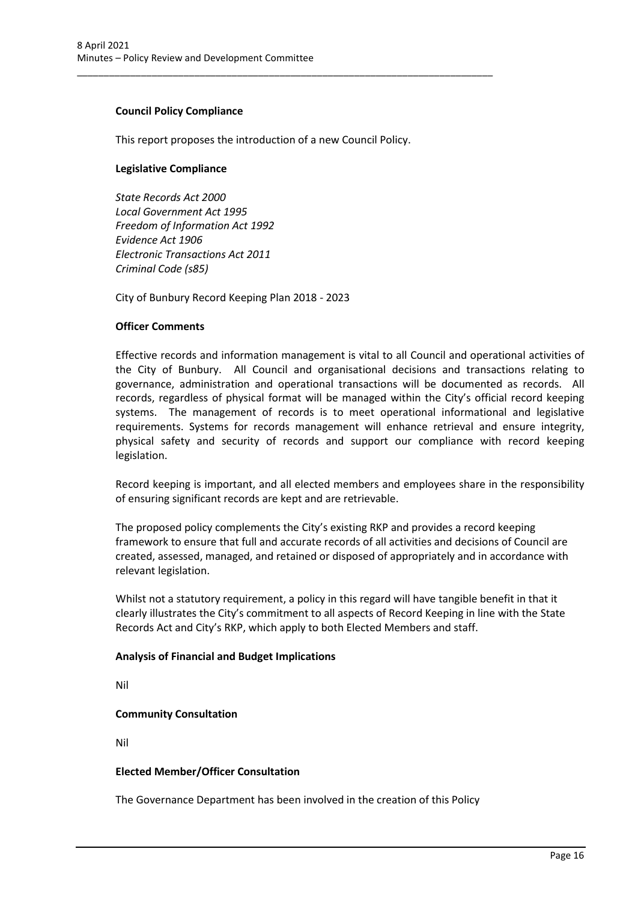### **Council Policy Compliance**

This report proposes the introduction of a new Council Policy.

\_\_\_\_\_\_\_\_\_\_\_\_\_\_\_\_\_\_\_\_\_\_\_\_\_\_\_\_\_\_\_\_\_\_\_\_\_\_\_\_\_\_\_\_\_\_\_\_\_\_\_\_\_\_\_\_\_\_\_\_\_\_\_\_\_\_\_\_\_\_\_\_\_\_\_\_\_\_

### **Legislative Compliance**

*State Records Act 2000 Local Government Act 1995 Freedom of Information Act 1992 Evidence Act 1906 Electronic Transactions Act 2011 Criminal Code (s85)*

City of Bunbury Record Keeping Plan 2018 - 2023

### **Officer Comments**

Effective records and information management is vital to all Council and operational activities of the City of Bunbury. All Council and organisational decisions and transactions relating to governance, administration and operational transactions will be documented as records. All records, regardless of physical format will be managed within the City's official record keeping systems. The management of records is to meet operational informational and legislative requirements. Systems for records management will enhance retrieval and ensure integrity, physical safety and security of records and support our compliance with record keeping legislation.

Record keeping is important, and all elected members and employees share in the responsibility of ensuring significant records are kept and are retrievable.

The proposed policy complements the City's existing RKP and provides a record keeping framework to ensure that full and accurate records of all activities and decisions of Council are created, assessed, managed, and retained or disposed of appropriately and in accordance with relevant legislation.

Whilst not a statutory requirement, a policy in this regard will have tangible benefit in that it clearly illustrates the City's commitment to all aspects of Record Keeping in line with the State Records Act and City's RKP, which apply to both Elected Members and staff.

#### **Analysis of Financial and Budget Implications**

Nil

### **Community Consultation**

Nil

#### **Elected Member/Officer Consultation**

The Governance Department has been involved in the creation of this Policy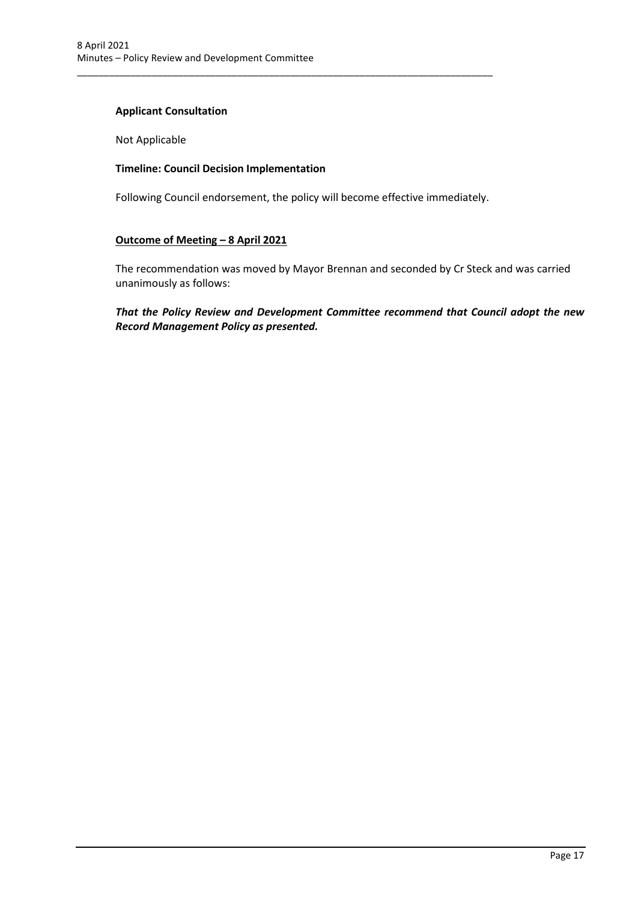### **Applicant Consultation**

Not Applicable

### **Timeline: Council Decision Implementation**

Following Council endorsement, the policy will become effective immediately.

\_\_\_\_\_\_\_\_\_\_\_\_\_\_\_\_\_\_\_\_\_\_\_\_\_\_\_\_\_\_\_\_\_\_\_\_\_\_\_\_\_\_\_\_\_\_\_\_\_\_\_\_\_\_\_\_\_\_\_\_\_\_\_\_\_\_\_\_\_\_\_\_\_\_\_\_\_\_

### **Outcome of Meeting – 8 April 2021**

The recommendation was moved by Mayor Brennan and seconded by Cr Steck and was carried unanimously as follows:

*That the Policy Review and Development Committee recommend that Council adopt the new Record Management Policy as presented.*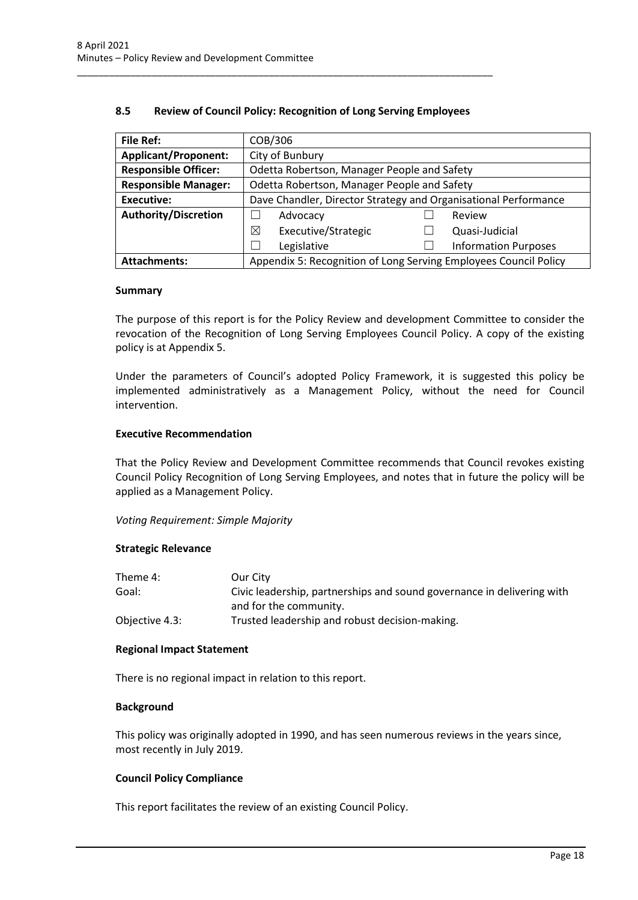| <b>File Ref:</b>            | COB/306                                                         |                                                                  |  |
|-----------------------------|-----------------------------------------------------------------|------------------------------------------------------------------|--|
| <b>Applicant/Proponent:</b> | City of Bunbury                                                 |                                                                  |  |
| <b>Responsible Officer:</b> | Odetta Robertson, Manager People and Safety                     |                                                                  |  |
| <b>Responsible Manager:</b> | Odetta Robertson, Manager People and Safety                     |                                                                  |  |
| Executive:                  | Dave Chandler, Director Strategy and Organisational Performance |                                                                  |  |
| <b>Authority/Discretion</b> | Advocacy                                                        | Review                                                           |  |
|                             | $\boxtimes$<br>Executive/Strategic                              | Quasi-Judicial                                                   |  |
|                             | Legislative                                                     | <b>Information Purposes</b>                                      |  |
| <b>Attachments:</b>         |                                                                 | Appendix 5: Recognition of Long Serving Employees Council Policy |  |

### **8.5 Review of Council Policy: Recognition of Long Serving Employees**

<span id="page-18-0"></span>\_\_\_\_\_\_\_\_\_\_\_\_\_\_\_\_\_\_\_\_\_\_\_\_\_\_\_\_\_\_\_\_\_\_\_\_\_\_\_\_\_\_\_\_\_\_\_\_\_\_\_\_\_\_\_\_\_\_\_\_\_\_\_\_\_\_\_\_\_\_\_\_\_\_\_\_\_\_

#### **Summary**

The purpose of this report is for the Policy Review and development Committee to consider the revocation of the Recognition of Long Serving Employees Council Policy. A copy of the existing policy is at Appendix 5.

Under the parameters of Council's adopted Policy Framework, it is suggested this policy be implemented administratively as a Management Policy, without the need for Council intervention.

### **Executive Recommendation**

That the Policy Review and Development Committee recommends that Council revokes existing Council Policy Recognition of Long Serving Employees, and notes that in future the policy will be applied as a Management Policy.

*Voting Requirement: Simple Majority* 

#### **Strategic Relevance**

| Theme 4:       | Our City                                                               |
|----------------|------------------------------------------------------------------------|
| Goal:          | Civic leadership, partnerships and sound governance in delivering with |
|                | and for the community.                                                 |
| Objective 4.3: | Trusted leadership and robust decision-making.                         |

#### **Regional Impact Statement**

There is no regional impact in relation to this report.

#### **Background**

This policy was originally adopted in 1990, and has seen numerous reviews in the years since, most recently in July 2019.

#### **Council Policy Compliance**

This report facilitates the review of an existing Council Policy.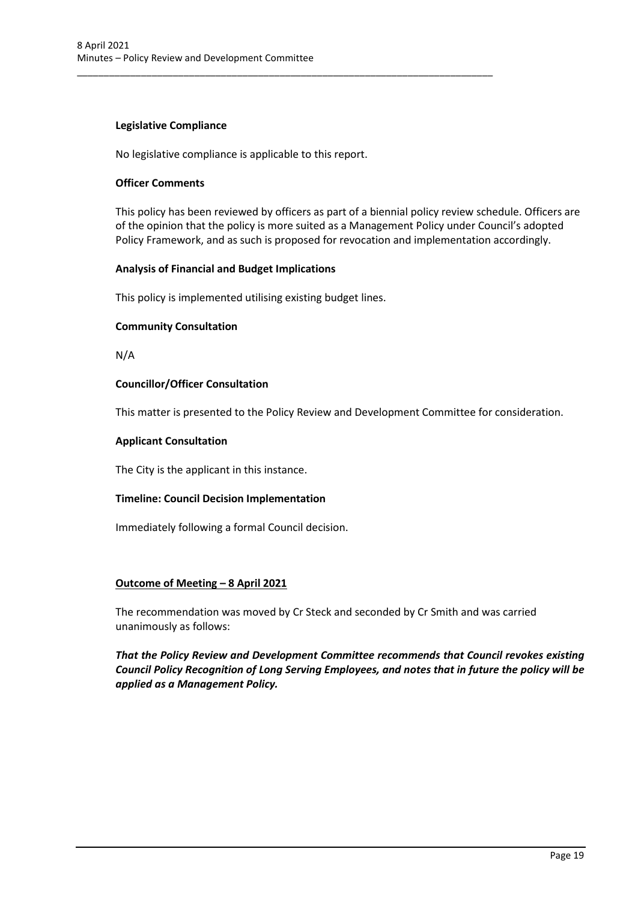### **Legislative Compliance**

No legislative compliance is applicable to this report.

\_\_\_\_\_\_\_\_\_\_\_\_\_\_\_\_\_\_\_\_\_\_\_\_\_\_\_\_\_\_\_\_\_\_\_\_\_\_\_\_\_\_\_\_\_\_\_\_\_\_\_\_\_\_\_\_\_\_\_\_\_\_\_\_\_\_\_\_\_\_\_\_\_\_\_\_\_\_

### **Officer Comments**

This policy has been reviewed by officers as part of a biennial policy review schedule. Officers are of the opinion that the policy is more suited as a Management Policy under Council's adopted Policy Framework, and as such is proposed for revocation and implementation accordingly.

### **Analysis of Financial and Budget Implications**

This policy is implemented utilising existing budget lines.

#### **Community Consultation**

N/A

### **Councillor/Officer Consultation**

This matter is presented to the Policy Review and Development Committee for consideration.

### **Applicant Consultation**

The City is the applicant in this instance.

### **Timeline: Council Decision Implementation**

Immediately following a formal Council decision.

#### **Outcome of Meeting – 8 April 2021**

The recommendation was moved by Cr Steck and seconded by Cr Smith and was carried unanimously as follows:

*That the Policy Review and Development Committee recommends that Council revokes existing Council Policy Recognition of Long Serving Employees, and notes that in future the policy will be applied as a Management Policy.*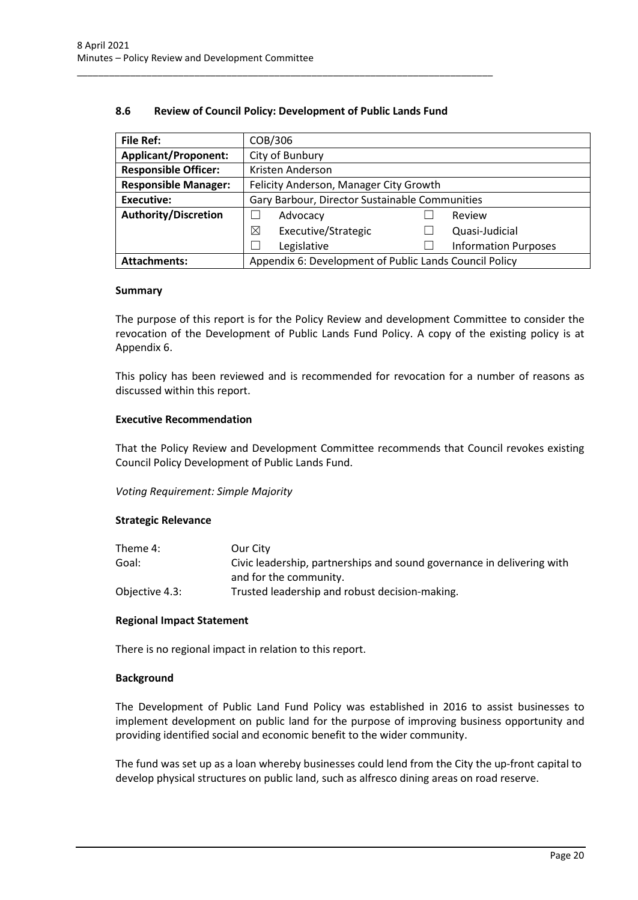### **8.6 Review of Council Policy: Development of Public Lands Fund**

<span id="page-20-0"></span>\_\_\_\_\_\_\_\_\_\_\_\_\_\_\_\_\_\_\_\_\_\_\_\_\_\_\_\_\_\_\_\_\_\_\_\_\_\_\_\_\_\_\_\_\_\_\_\_\_\_\_\_\_\_\_\_\_\_\_\_\_\_\_\_\_\_\_\_\_\_\_\_\_\_\_\_\_\_

| <b>File Ref:</b>            | COB/306                                                |  |                             |
|-----------------------------|--------------------------------------------------------|--|-----------------------------|
| <b>Applicant/Proponent:</b> | City of Bunbury                                        |  |                             |
| <b>Responsible Officer:</b> | Kristen Anderson                                       |  |                             |
| <b>Responsible Manager:</b> | Felicity Anderson, Manager City Growth                 |  |                             |
| <b>Executive:</b>           | Gary Barbour, Director Sustainable Communities         |  |                             |
| <b>Authority/Discretion</b> | Advocacy                                               |  | Review                      |
|                             | Executive/Strategic<br>⊠                               |  | Quasi-Judicial              |
|                             | Legislative                                            |  | <b>Information Purposes</b> |
| <b>Attachments:</b>         | Appendix 6: Development of Public Lands Council Policy |  |                             |

#### **Summary**

The purpose of this report is for the Policy Review and development Committee to consider the revocation of the Development of Public Lands Fund Policy. A copy of the existing policy is at Appendix 6.

This policy has been reviewed and is recommended for revocation for a number of reasons as discussed within this report.

#### **Executive Recommendation**

That the Policy Review and Development Committee recommends that Council revokes existing Council Policy Development of Public Lands Fund.

*Voting Requirement: Simple Majority* 

#### **Strategic Relevance**

| Theme 4:       | Our City                                                               |
|----------------|------------------------------------------------------------------------|
| Goal:          | Civic leadership, partnerships and sound governance in delivering with |
|                | and for the community.                                                 |
| Objective 4.3: | Trusted leadership and robust decision-making.                         |

#### **Regional Impact Statement**

There is no regional impact in relation to this report.

#### **Background**

The Development of Public Land Fund Policy was established in 2016 to assist businesses to implement development on public land for the purpose of improving business opportunity and providing identified social and economic benefit to the wider community.

The fund was set up as a loan whereby businesses could lend from the City the up-front capital to develop physical structures on public land, such as alfresco dining areas on road reserve.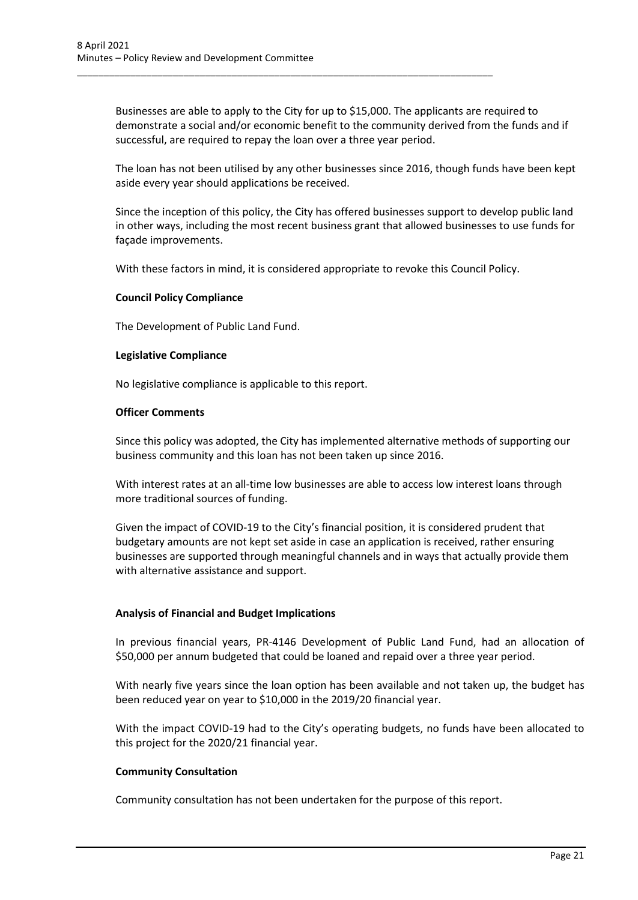Businesses are able to apply to the City for up to \$15,000. The applicants are required to demonstrate a social and/or economic benefit to the community derived from the funds and if successful, are required to repay the loan over a three year period.

\_\_\_\_\_\_\_\_\_\_\_\_\_\_\_\_\_\_\_\_\_\_\_\_\_\_\_\_\_\_\_\_\_\_\_\_\_\_\_\_\_\_\_\_\_\_\_\_\_\_\_\_\_\_\_\_\_\_\_\_\_\_\_\_\_\_\_\_\_\_\_\_\_\_\_\_\_\_

The loan has not been utilised by any other businesses since 2016, though funds have been kept aside every year should applications be received.

Since the inception of this policy, the City has offered businesses support to develop public land in other ways, including the most recent business grant that allowed businesses to use funds for façade improvements.

With these factors in mind, it is considered appropriate to revoke this Council Policy.

#### **Council Policy Compliance**

The Development of Public Land Fund.

#### **Legislative Compliance**

No legislative compliance is applicable to this report.

#### **Officer Comments**

Since this policy was adopted, the City has implemented alternative methods of supporting our business community and this loan has not been taken up since 2016.

With interest rates at an all-time low businesses are able to access low interest loans through more traditional sources of funding.

Given the impact of COVID-19 to the City's financial position, it is considered prudent that budgetary amounts are not kept set aside in case an application is received, rather ensuring businesses are supported through meaningful channels and in ways that actually provide them with alternative assistance and support.

#### **Analysis of Financial and Budget Implications**

In previous financial years, PR-4146 Development of Public Land Fund, had an allocation of \$50,000 per annum budgeted that could be loaned and repaid over a three year period.

With nearly five years since the loan option has been available and not taken up, the budget has been reduced year on year to \$10,000 in the 2019/20 financial year.

With the impact COVID-19 had to the City's operating budgets, no funds have been allocated to this project for the 2020/21 financial year.

#### **Community Consultation**

Community consultation has not been undertaken for the purpose of this report.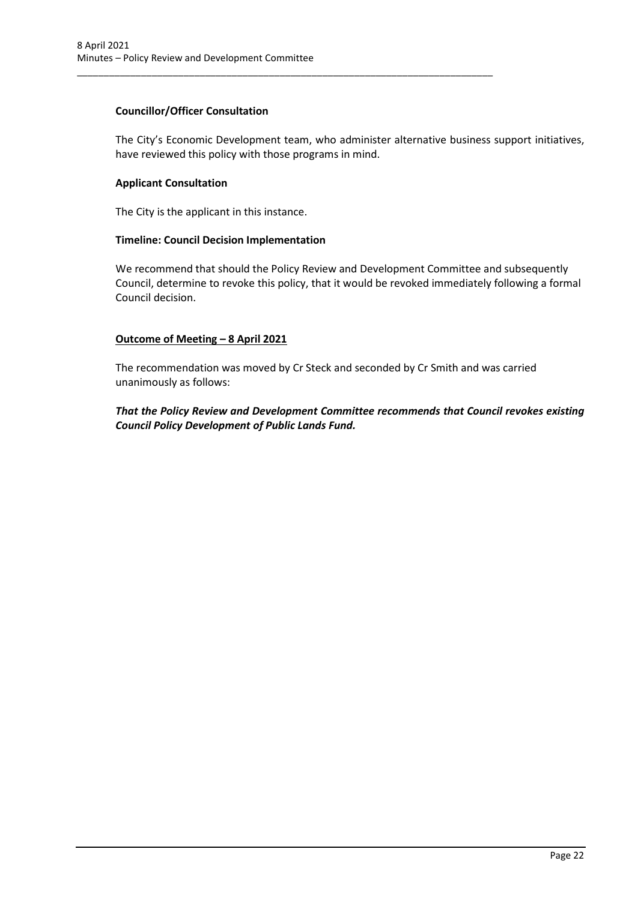### **Councillor/Officer Consultation**

The City's Economic Development team, who administer alternative business support initiatives, have reviewed this policy with those programs in mind.

\_\_\_\_\_\_\_\_\_\_\_\_\_\_\_\_\_\_\_\_\_\_\_\_\_\_\_\_\_\_\_\_\_\_\_\_\_\_\_\_\_\_\_\_\_\_\_\_\_\_\_\_\_\_\_\_\_\_\_\_\_\_\_\_\_\_\_\_\_\_\_\_\_\_\_\_\_\_

### **Applicant Consultation**

The City is the applicant in this instance.

### **Timeline: Council Decision Implementation**

We recommend that should the Policy Review and Development Committee and subsequently Council, determine to revoke this policy, that it would be revoked immediately following a formal Council decision.

### **Outcome of Meeting – 8 April 2021**

The recommendation was moved by Cr Steck and seconded by Cr Smith and was carried unanimously as follows:

*That the Policy Review and Development Committee recommends that Council revokes existing Council Policy Development of Public Lands Fund.*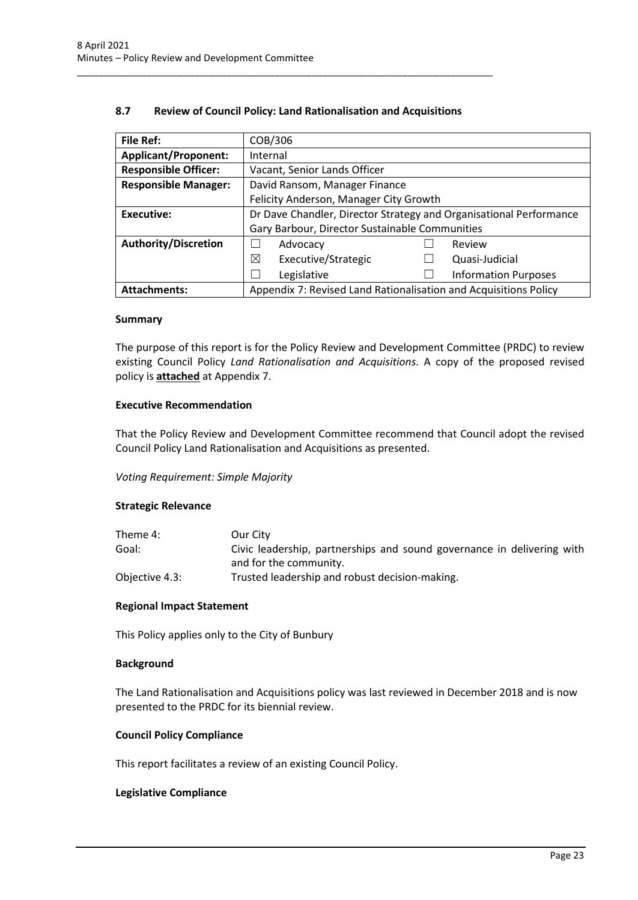### **8.7 Review of Council Policy: Land Rationalisation and Acquisitions**

<span id="page-23-0"></span>\_\_\_\_\_\_\_\_\_\_\_\_\_\_\_\_\_\_\_\_\_\_\_\_\_\_\_\_\_\_\_\_\_\_\_\_\_\_\_\_\_\_\_\_\_\_\_\_\_\_\_\_\_\_\_\_\_\_\_\_\_\_\_\_\_\_\_\_\_\_\_\_\_\_\_\_\_\_

| <b>File Ref:</b>            | COB/306                                                            |  |  |
|-----------------------------|--------------------------------------------------------------------|--|--|
| <b>Applicant/Proponent:</b> | Internal                                                           |  |  |
| <b>Responsible Officer:</b> | Vacant, Senior Lands Officer                                       |  |  |
| <b>Responsible Manager:</b> | David Ransom, Manager Finance                                      |  |  |
|                             | Felicity Anderson, Manager City Growth                             |  |  |
| Executive:                  | Dr Dave Chandler, Director Strategy and Organisational Performance |  |  |
|                             | Gary Barbour, Director Sustainable Communities                     |  |  |
| <b>Authority/Discretion</b> | Advocacy<br>Review                                                 |  |  |
|                             | ⊠<br>Executive/Strategic<br>Quasi-Judicial                         |  |  |
|                             | Legislative<br><b>Information Purposes</b>                         |  |  |
| <b>Attachments:</b>         | Appendix 7: Revised Land Rationalisation and Acquisitions Policy   |  |  |

#### **Summary**

The purpose of this report is for the Policy Review and Development Committee (PRDC) to review existing Council Policy *Land Rationalisation and Acquisitions*. A copy of the proposed revised policy is **attached** at Appendix 7.

#### **Executive Recommendation**

That the Policy Review and Development Committee recommend that Council adopt the revised Council Policy Land Rationalisation and Acquisitions as presented.

*Voting Requirement: Simple Majority* 

#### **Strategic Relevance**

| Theme 4:       | Our City                                                               |
|----------------|------------------------------------------------------------------------|
| Goal:          | Civic leadership, partnerships and sound governance in delivering with |
|                | and for the community.                                                 |
| Objective 4.3: | Trusted leadership and robust decision-making.                         |

#### **Regional Impact Statement**

This Policy applies only to the City of Bunbury

#### **Background**

The Land Rationalisation and Acquisitions policy was last reviewed in December 2018 and is now presented to the PRDC for its biennial review.

#### **Council Policy Compliance**

This report facilitates a review of an existing Council Policy.

#### **Legislative Compliance**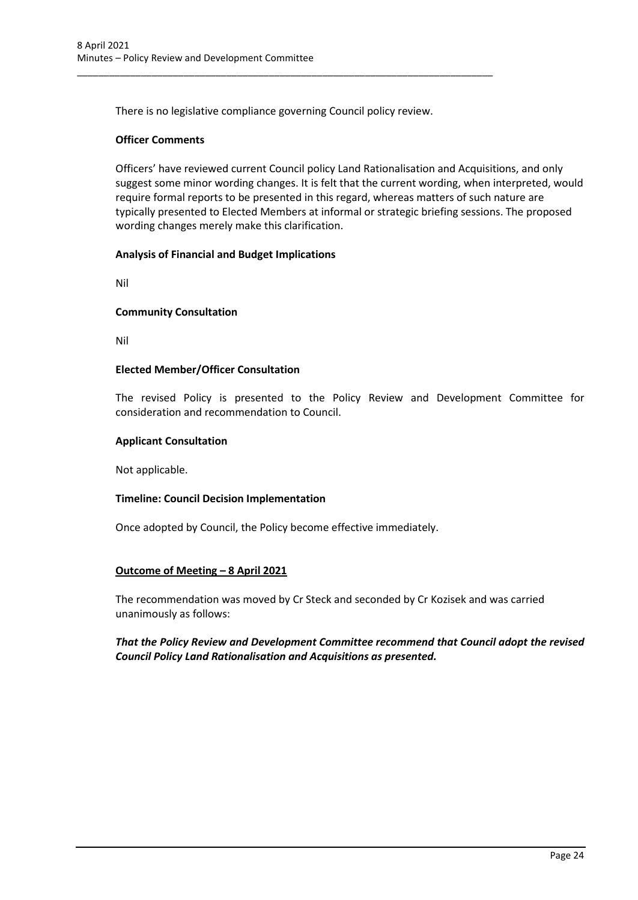There is no legislative compliance governing Council policy review.

\_\_\_\_\_\_\_\_\_\_\_\_\_\_\_\_\_\_\_\_\_\_\_\_\_\_\_\_\_\_\_\_\_\_\_\_\_\_\_\_\_\_\_\_\_\_\_\_\_\_\_\_\_\_\_\_\_\_\_\_\_\_\_\_\_\_\_\_\_\_\_\_\_\_\_\_\_\_

### **Officer Comments**

Officers' have reviewed current Council policy Land Rationalisation and Acquisitions, and only suggest some minor wording changes. It is felt that the current wording, when interpreted, would require formal reports to be presented in this regard, whereas matters of such nature are typically presented to Elected Members at informal or strategic briefing sessions. The proposed wording changes merely make this clarification.

### **Analysis of Financial and Budget Implications**

Nil

#### **Community Consultation**

Nil

### **Elected Member/Officer Consultation**

The revised Policy is presented to the Policy Review and Development Committee for consideration and recommendation to Council.

#### **Applicant Consultation**

Not applicable.

#### **Timeline: Council Decision Implementation**

Once adopted by Council, the Policy become effective immediately.

#### **Outcome of Meeting – 8 April 2021**

The recommendation was moved by Cr Steck and seconded by Cr Kozisek and was carried unanimously as follows:

*That the Policy Review and Development Committee recommend that Council adopt the revised Council Policy Land Rationalisation and Acquisitions as presented.*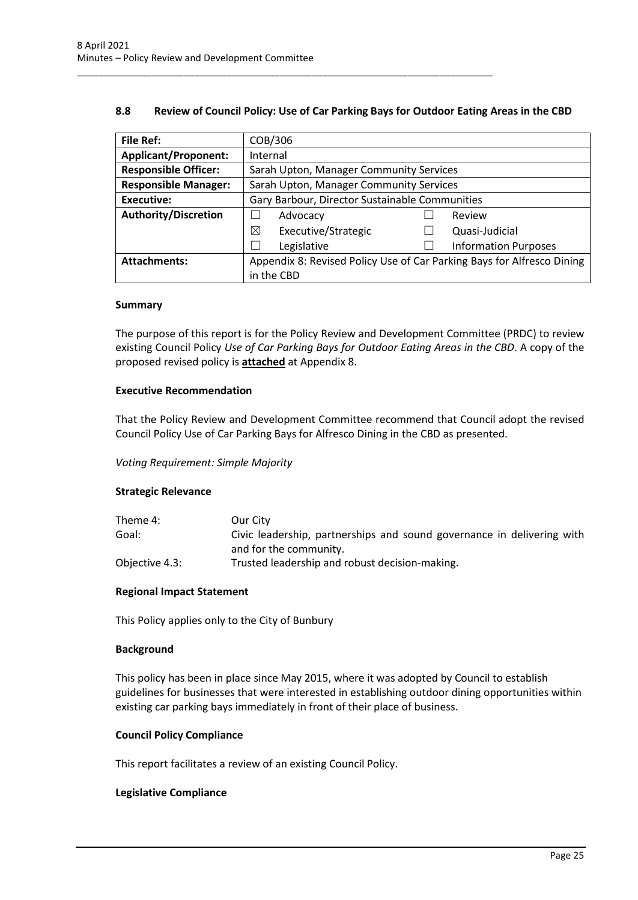### **8.8 Review of Council Policy: Use of Car Parking Bays for Outdoor Eating Areas in the CBD**

<span id="page-25-0"></span>\_\_\_\_\_\_\_\_\_\_\_\_\_\_\_\_\_\_\_\_\_\_\_\_\_\_\_\_\_\_\_\_\_\_\_\_\_\_\_\_\_\_\_\_\_\_\_\_\_\_\_\_\_\_\_\_\_\_\_\_\_\_\_\_\_\_\_\_\_\_\_\_\_\_\_\_\_\_

| <b>File Ref:</b>            | COB/306                                                                |                                         |                             |  |
|-----------------------------|------------------------------------------------------------------------|-----------------------------------------|-----------------------------|--|
| <b>Applicant/Proponent:</b> | Internal                                                               |                                         |                             |  |
| <b>Responsible Officer:</b> |                                                                        | Sarah Upton, Manager Community Services |                             |  |
| <b>Responsible Manager:</b> | Sarah Upton, Manager Community Services                                |                                         |                             |  |
| Executive:                  | Gary Barbour, Director Sustainable Communities                         |                                         |                             |  |
| <b>Authority/Discretion</b> | Advocacy                                                               |                                         | Review                      |  |
|                             | ⊠<br>Executive/Strategic                                               |                                         | Quasi-Judicial              |  |
|                             | Legislative                                                            |                                         | <b>Information Purposes</b> |  |
| <b>Attachments:</b>         | Appendix 8: Revised Policy Use of Car Parking Bays for Alfresco Dining |                                         |                             |  |
|                             | in the CBD                                                             |                                         |                             |  |

#### **Summary**

The purpose of this report is for the Policy Review and Development Committee (PRDC) to review existing Council Policy *Use of Car Parking Bays for Outdoor Eating Areas in the CBD*. A copy of the proposed revised policy is **attached** at Appendix 8.

#### **Executive Recommendation**

That the Policy Review and Development Committee recommend that Council adopt the revised Council Policy Use of Car Parking Bays for Alfresco Dining in the CBD as presented.

#### *Voting Requirement: Simple Majority*

#### **Strategic Relevance**

| Theme 4:       | Our City                                                                                         |
|----------------|--------------------------------------------------------------------------------------------------|
| Goal:          | Civic leadership, partnerships and sound governance in delivering with<br>and for the community. |
|                |                                                                                                  |
| Objective 4.3: | Trusted leadership and robust decision-making.                                                   |

#### **Regional Impact Statement**

This Policy applies only to the City of Bunbury

#### **Background**

This policy has been in place since May 2015, where it was adopted by Council to establish guidelines for businesses that were interested in establishing outdoor dining opportunities within existing car parking bays immediately in front of their place of business.

#### **Council Policy Compliance**

This report facilitates a review of an existing Council Policy.

#### **Legislative Compliance**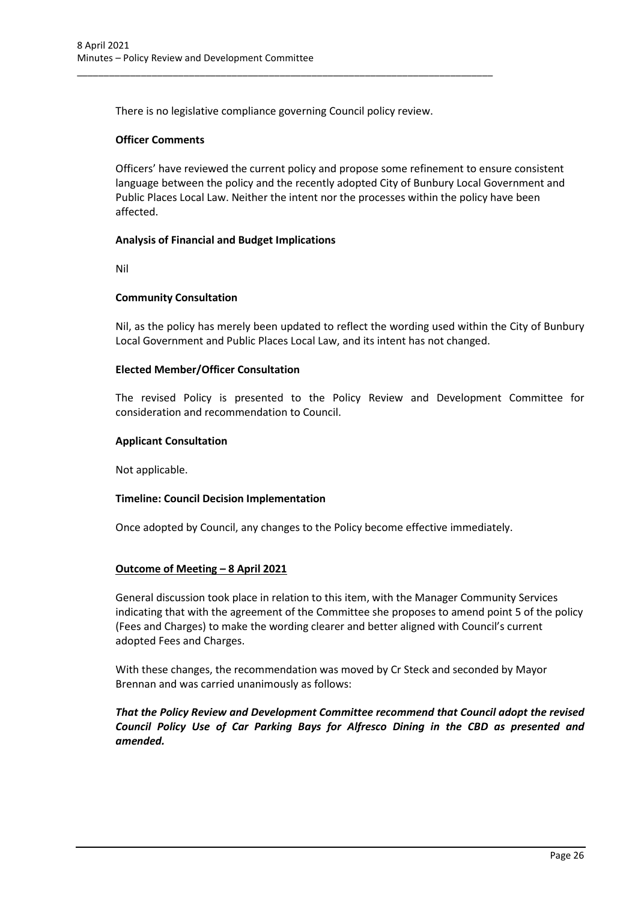There is no legislative compliance governing Council policy review.

\_\_\_\_\_\_\_\_\_\_\_\_\_\_\_\_\_\_\_\_\_\_\_\_\_\_\_\_\_\_\_\_\_\_\_\_\_\_\_\_\_\_\_\_\_\_\_\_\_\_\_\_\_\_\_\_\_\_\_\_\_\_\_\_\_\_\_\_\_\_\_\_\_\_\_\_\_\_

### **Officer Comments**

Officers' have reviewed the current policy and propose some refinement to ensure consistent language between the policy and the recently adopted City of Bunbury Local Government and Public Places Local Law. Neither the intent nor the processes within the policy have been affected.

### **Analysis of Financial and Budget Implications**

Nil

### **Community Consultation**

Nil, as the policy has merely been updated to reflect the wording used within the City of Bunbury Local Government and Public Places Local Law, and its intent has not changed.

### **Elected Member/Officer Consultation**

The revised Policy is presented to the Policy Review and Development Committee for consideration and recommendation to Council.

#### **Applicant Consultation**

Not applicable.

#### **Timeline: Council Decision Implementation**

Once adopted by Council, any changes to the Policy become effective immediately.

#### **Outcome of Meeting – 8 April 2021**

General discussion took place in relation to this item, with the Manager Community Services indicating that with the agreement of the Committee she proposes to amend point 5 of the policy (Fees and Charges) to make the wording clearer and better aligned with Council's current adopted Fees and Charges.

With these changes, the recommendation was moved by Cr Steck and seconded by Mayor Brennan and was carried unanimously as follows:

*That the Policy Review and Development Committee recommend that Council adopt the revised Council Policy Use of Car Parking Bays for Alfresco Dining in the CBD as presented and amended.*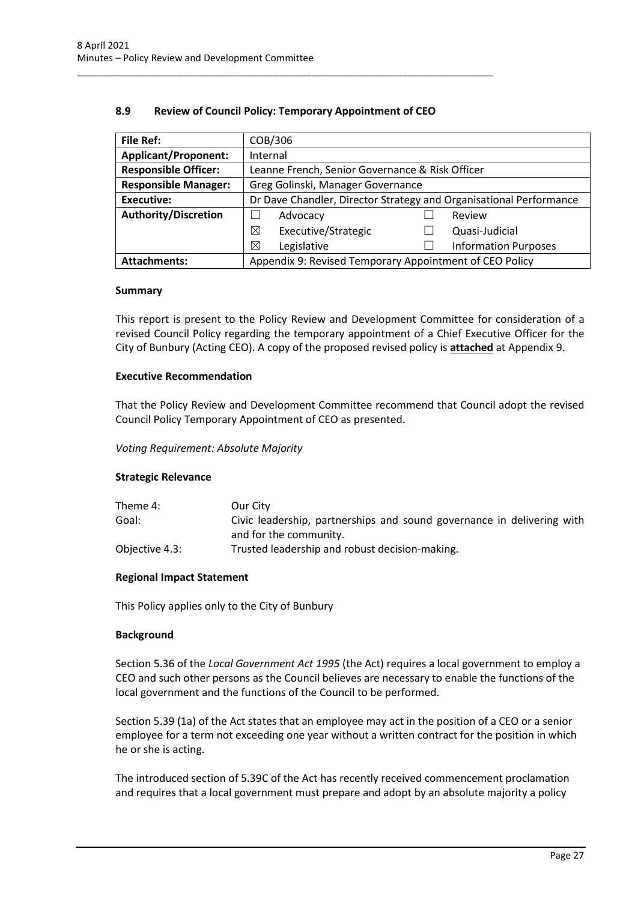### **8.9 Review of Council Policy: Temporary Appointment of CEO**

<span id="page-27-0"></span>\_\_\_\_\_\_\_\_\_\_\_\_\_\_\_\_\_\_\_\_\_\_\_\_\_\_\_\_\_\_\_\_\_\_\_\_\_\_\_\_\_\_\_\_\_\_\_\_\_\_\_\_\_\_\_\_\_\_\_\_\_\_\_\_\_\_\_\_\_\_\_\_\_\_\_\_\_\_

| <b>File Ref:</b>            | COB/306                                                            |  |                             |
|-----------------------------|--------------------------------------------------------------------|--|-----------------------------|
| <b>Applicant/Proponent:</b> | Internal                                                           |  |                             |
| <b>Responsible Officer:</b> | Leanne French, Senior Governance & Risk Officer                    |  |                             |
| <b>Responsible Manager:</b> | Greg Golinski, Manager Governance                                  |  |                             |
| <b>Executive:</b>           | Dr Dave Chandler, Director Strategy and Organisational Performance |  |                             |
| <b>Authority/Discretion</b> | Advocacy                                                           |  | Review                      |
|                             | ⊠<br>Executive/Strategic                                           |  | Quasi-Judicial              |
|                             | ⊠<br>Legislative                                                   |  | <b>Information Purposes</b> |
| <b>Attachments:</b>         | Appendix 9: Revised Temporary Appointment of CEO Policy            |  |                             |

#### **Summary**

This report is present to the Policy Review and Development Committee for consideration of a revised Council Policy regarding the temporary appointment of a Chief Executive Officer for the City of Bunbury (Acting CEO). A copy of the proposed revised policy is **attached** at Appendix 9.

#### **Executive Recommendation**

That the Policy Review and Development Committee recommend that Council adopt the revised Council Policy Temporary Appointment of CEO as presented.

#### *Voting Requirement: Absolute Majority*

#### **Strategic Relevance**

| Theme 4:       | Our City                                                               |
|----------------|------------------------------------------------------------------------|
| Goal:          | Civic leadership, partnerships and sound governance in delivering with |
|                | and for the community.                                                 |
| Objective 4.3: | Trusted leadership and robust decision-making.                         |

### **Regional Impact Statement**

This Policy applies only to the City of Bunbury

#### **Background**

Section 5.36 of the *Local Government Act 1995* (the Act) requires a local government to employ a CEO and such other persons as the Council believes are necessary to enable the functions of the local government and the functions of the Council to be performed.

Section 5.39 (1a) of the Act states that an employee may act in the position of a CEO or a senior employee for a term not exceeding one year without a written contract for the position in which he or she is acting.

The introduced section of 5.39C of the Act has recently received commencement proclamation and requires that a local government must prepare and adopt by an absolute majority a policy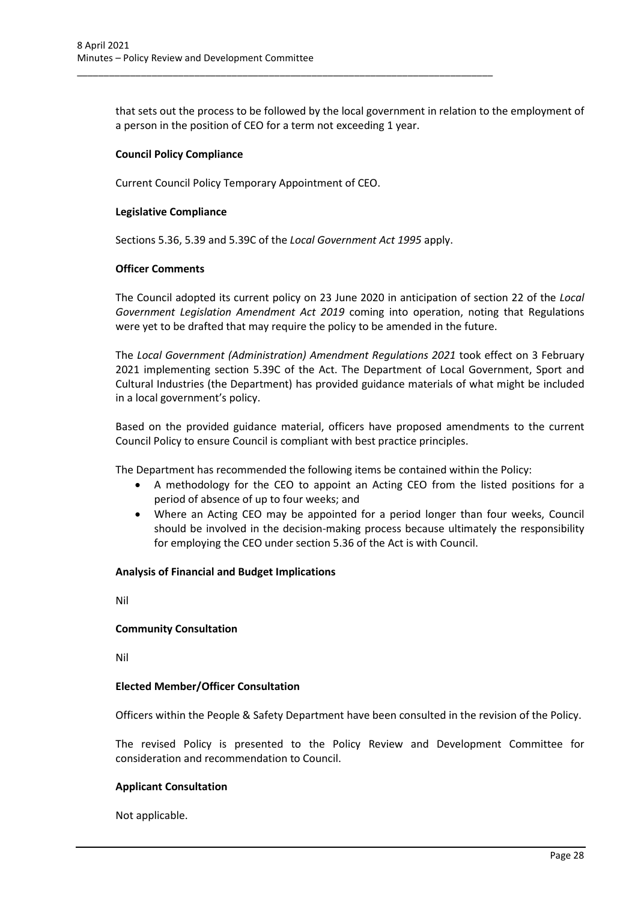that sets out the process to be followed by the local government in relation to the employment of a person in the position of CEO for a term not exceeding 1 year.

### **Council Policy Compliance**

Current Council Policy Temporary Appointment of CEO.

### **Legislative Compliance**

Sections 5.36, 5.39 and 5.39C of the *Local Government Act 1995* apply.

\_\_\_\_\_\_\_\_\_\_\_\_\_\_\_\_\_\_\_\_\_\_\_\_\_\_\_\_\_\_\_\_\_\_\_\_\_\_\_\_\_\_\_\_\_\_\_\_\_\_\_\_\_\_\_\_\_\_\_\_\_\_\_\_\_\_\_\_\_\_\_\_\_\_\_\_\_\_

### **Officer Comments**

The Council adopted its current policy on 23 June 2020 in anticipation of section 22 of the *Local Government Legislation Amendment Act 2019* coming into operation, noting that Regulations were yet to be drafted that may require the policy to be amended in the future.

The *Local Government (Administration) Amendment Regulations 2021* took effect on 3 February 2021 implementing section 5.39C of the Act. The Department of Local Government, Sport and Cultural Industries (the Department) has provided guidance materials of what might be included in a local government's policy.

Based on the provided guidance material, officers have proposed amendments to the current Council Policy to ensure Council is compliant with best practice principles.

The Department has recommended the following items be contained within the Policy:

- A methodology for the CEO to appoint an Acting CEO from the listed positions for a period of absence of up to four weeks; and
- Where an Acting CEO may be appointed for a period longer than four weeks, Council should be involved in the decision-making process because ultimately the responsibility for employing the CEO under section 5.36 of the Act is with Council.

### **Analysis of Financial and Budget Implications**

Nil

#### **Community Consultation**

Nil

### **Elected Member/Officer Consultation**

Officers within the People & Safety Department have been consulted in the revision of the Policy.

The revised Policy is presented to the Policy Review and Development Committee for consideration and recommendation to Council.

#### **Applicant Consultation**

Not applicable.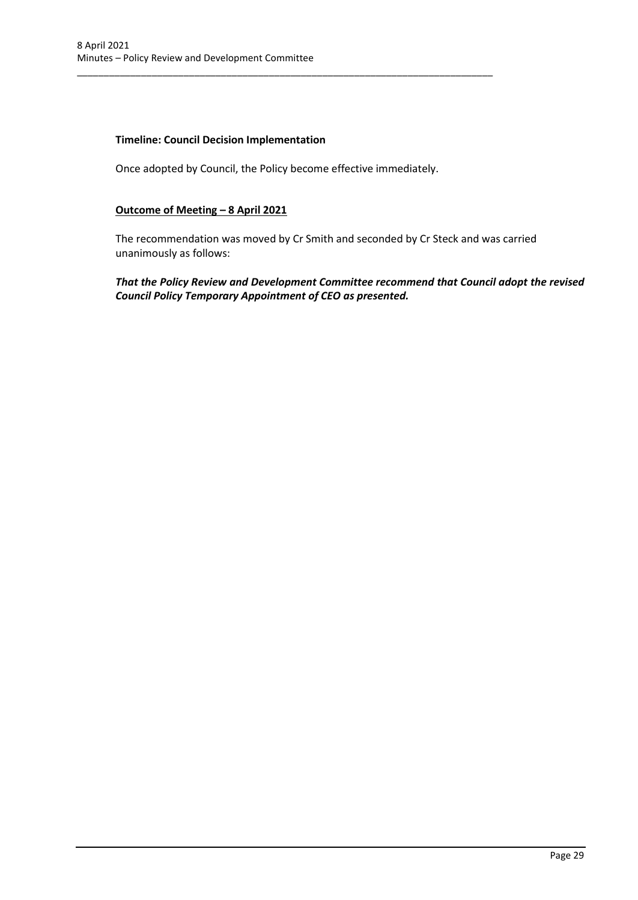### **Timeline: Council Decision Implementation**

Once adopted by Council, the Policy become effective immediately.

\_\_\_\_\_\_\_\_\_\_\_\_\_\_\_\_\_\_\_\_\_\_\_\_\_\_\_\_\_\_\_\_\_\_\_\_\_\_\_\_\_\_\_\_\_\_\_\_\_\_\_\_\_\_\_\_\_\_\_\_\_\_\_\_\_\_\_\_\_\_\_\_\_\_\_\_\_\_

### **Outcome of Meeting – 8 April 2021**

The recommendation was moved by Cr Smith and seconded by Cr Steck and was carried unanimously as follows:

*That the Policy Review and Development Committee recommend that Council adopt the revised Council Policy Temporary Appointment of CEO as presented.*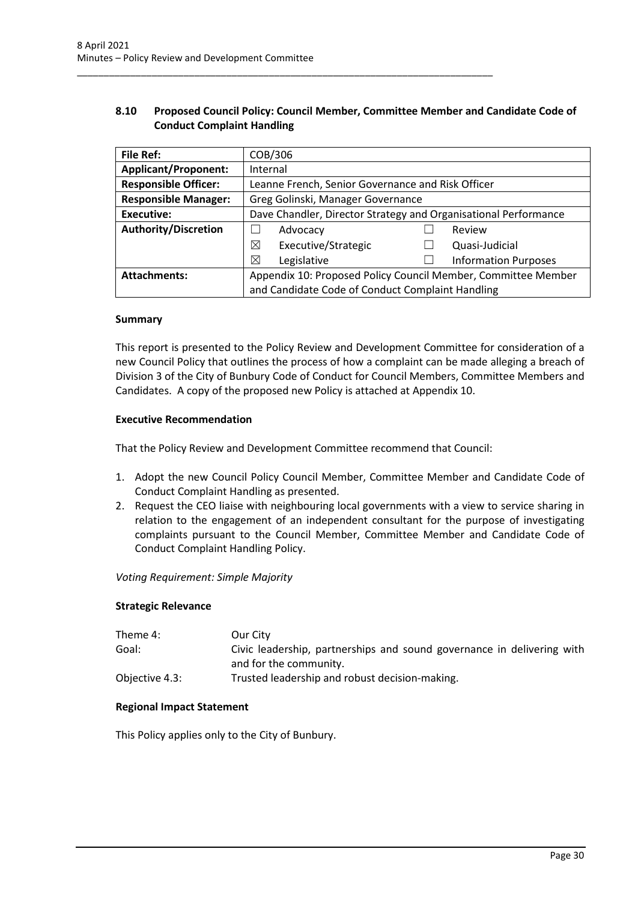### **8.10 Proposed Council Policy: Council Member, Committee Member and Candidate Code of Conduct Complaint Handling**

<span id="page-30-0"></span>\_\_\_\_\_\_\_\_\_\_\_\_\_\_\_\_\_\_\_\_\_\_\_\_\_\_\_\_\_\_\_\_\_\_\_\_\_\_\_\_\_\_\_\_\_\_\_\_\_\_\_\_\_\_\_\_\_\_\_\_\_\_\_\_\_\_\_\_\_\_\_\_\_\_\_\_\_\_

| File Ref:                   | COB/306                                                         |  |                             |
|-----------------------------|-----------------------------------------------------------------|--|-----------------------------|
| <b>Applicant/Proponent:</b> | Internal                                                        |  |                             |
| <b>Responsible Officer:</b> | Leanne French, Senior Governance and Risk Officer               |  |                             |
| <b>Responsible Manager:</b> | Greg Golinski, Manager Governance                               |  |                             |
| <b>Executive:</b>           | Dave Chandler, Director Strategy and Organisational Performance |  |                             |
| <b>Authority/Discretion</b> | Advocacy                                                        |  | Review                      |
|                             | ⊠<br>Executive/Strategic                                        |  | Quasi-Judicial              |
|                             | ⊠<br>Legislative                                                |  | <b>Information Purposes</b> |
| <b>Attachments:</b>         | Appendix 10: Proposed Policy Council Member, Committee Member   |  |                             |
|                             | and Candidate Code of Conduct Complaint Handling                |  |                             |

#### **Summary**

This report is presented to the Policy Review and Development Committee for consideration of a new Council Policy that outlines the process of how a complaint can be made alleging a breach of Division 3 of the City of Bunbury Code of Conduct for Council Members, Committee Members and Candidates. A copy of the proposed new Policy is attached at Appendix 10.

#### **Executive Recommendation**

That the Policy Review and Development Committee recommend that Council:

- 1. Adopt the new Council Policy Council Member, Committee Member and Candidate Code of Conduct Complaint Handling as presented.
- 2. Request the CEO liaise with neighbouring local governments with a view to service sharing in relation to the engagement of an independent consultant for the purpose of investigating complaints pursuant to the Council Member, Committee Member and Candidate Code of Conduct Complaint Handling Policy.

*Voting Requirement: Simple Majority* 

#### **Strategic Relevance**

| Theme 4:       | Our City                                                               |
|----------------|------------------------------------------------------------------------|
| Goal:          | Civic leadership, partnerships and sound governance in delivering with |
|                | and for the community.                                                 |
| Objective 4.3: | Trusted leadership and robust decision-making.                         |

#### **Regional Impact Statement**

This Policy applies only to the City of Bunbury.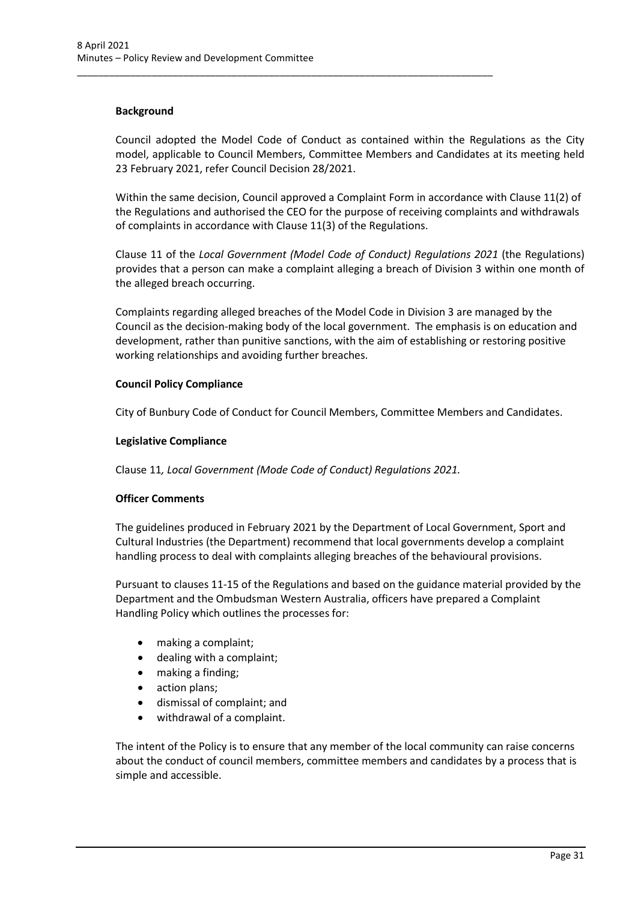### **Background**

Council adopted the Model Code of Conduct as contained within the Regulations as the City model, applicable to Council Members, Committee Members and Candidates at its meeting held 23 February 2021, refer Council Decision 28/2021.

\_\_\_\_\_\_\_\_\_\_\_\_\_\_\_\_\_\_\_\_\_\_\_\_\_\_\_\_\_\_\_\_\_\_\_\_\_\_\_\_\_\_\_\_\_\_\_\_\_\_\_\_\_\_\_\_\_\_\_\_\_\_\_\_\_\_\_\_\_\_\_\_\_\_\_\_\_\_

Within the same decision, Council approved a Complaint Form in accordance with Clause 11(2) of the Regulations and authorised the CEO for the purpose of receiving complaints and withdrawals of complaints in accordance with Clause 11(3) of the Regulations.

Clause 11 of the *Local Government (Model Code of Conduct) Regulations 2021* (the Regulations) provides that a person can make a complaint alleging a breach of Division 3 within one month of the alleged breach occurring.

Complaints regarding alleged breaches of the Model Code in Division 3 are managed by the Council as the decision-making body of the local government. The emphasis is on education and development, rather than punitive sanctions, with the aim of establishing or restoring positive working relationships and avoiding further breaches.

#### **Council Policy Compliance**

City of Bunbury Code of Conduct for Council Members, Committee Members and Candidates.

### **Legislative Compliance**

Clause 11*, Local Government (Mode Code of Conduct) Regulations 2021.*

### **Officer Comments**

The guidelines produced in February 2021 by the Department of Local Government, Sport and Cultural Industries (the Department) recommend that local governments develop a complaint handling process to deal with complaints alleging breaches of the behavioural provisions.

Pursuant to clauses 11-15 of the Regulations and based on the guidance material provided by the Department and the Ombudsman Western Australia, officers have prepared a Complaint Handling Policy which outlines the processes for:

- making a complaint;
- dealing with a complaint;
- making a finding;
- action plans;
- dismissal of complaint; and
- withdrawal of a complaint.

The intent of the Policy is to ensure that any member of the local community can raise concerns about the conduct of council members, committee members and candidates by a process that is simple and accessible.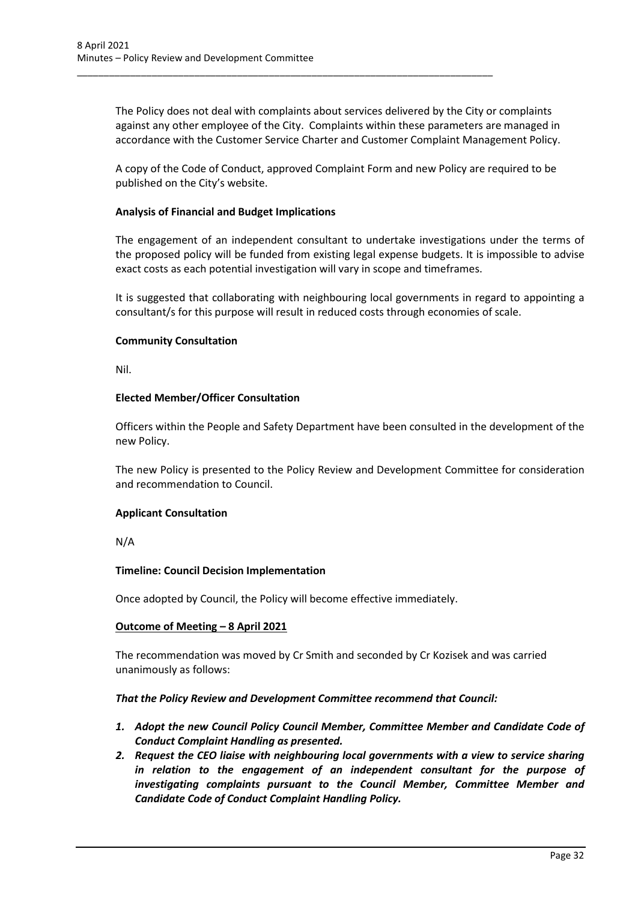The Policy does not deal with complaints about services delivered by the City or complaints against any other employee of the City. Complaints within these parameters are managed in accordance with the Customer Service Charter and Customer Complaint Management Policy.

\_\_\_\_\_\_\_\_\_\_\_\_\_\_\_\_\_\_\_\_\_\_\_\_\_\_\_\_\_\_\_\_\_\_\_\_\_\_\_\_\_\_\_\_\_\_\_\_\_\_\_\_\_\_\_\_\_\_\_\_\_\_\_\_\_\_\_\_\_\_\_\_\_\_\_\_\_\_

A copy of the Code of Conduct, approved Complaint Form and new Policy are required to be published on the City's website.

### **Analysis of Financial and Budget Implications**

The engagement of an independent consultant to undertake investigations under the terms of the proposed policy will be funded from existing legal expense budgets. It is impossible to advise exact costs as each potential investigation will vary in scope and timeframes.

It is suggested that collaborating with neighbouring local governments in regard to appointing a consultant/s for this purpose will result in reduced costs through economies of scale.

#### **Community Consultation**

Nil.

### **Elected Member/Officer Consultation**

Officers within the People and Safety Department have been consulted in the development of the new Policy.

The new Policy is presented to the Policy Review and Development Committee for consideration and recommendation to Council.

#### **Applicant Consultation**

N/A

#### **Timeline: Council Decision Implementation**

Once adopted by Council, the Policy will become effective immediately.

#### **Outcome of Meeting – 8 April 2021**

The recommendation was moved by Cr Smith and seconded by Cr Kozisek and was carried unanimously as follows:

#### *That the Policy Review and Development Committee recommend that Council:*

- *1. Adopt the new Council Policy Council Member, Committee Member and Candidate Code of Conduct Complaint Handling as presented.*
- *2. Request the CEO liaise with neighbouring local governments with a view to service sharing in relation to the engagement of an independent consultant for the purpose of investigating complaints pursuant to the Council Member, Committee Member and Candidate Code of Conduct Complaint Handling Policy.*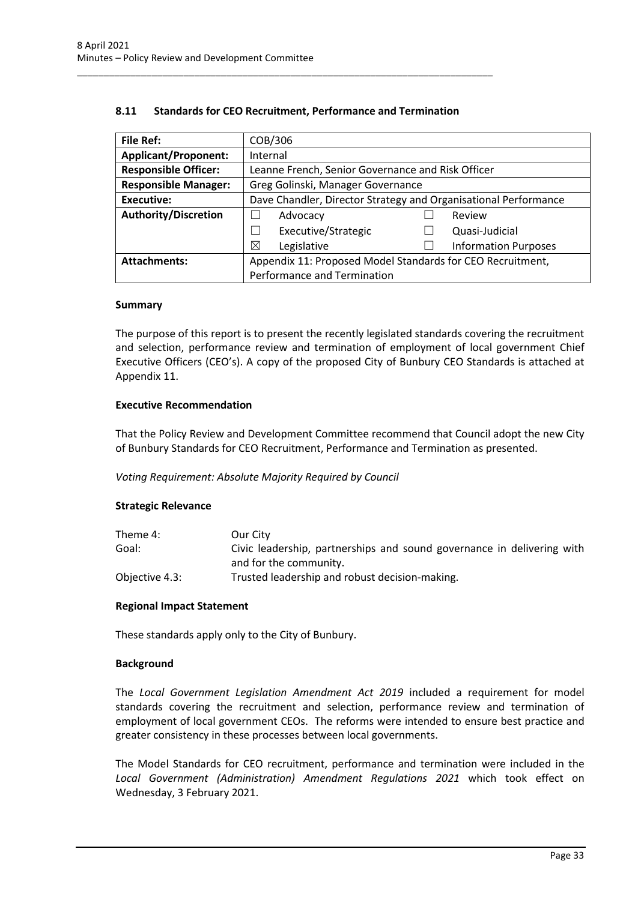| <b>File Ref:</b>            | COB/306                                                         |  |                             |
|-----------------------------|-----------------------------------------------------------------|--|-----------------------------|
| <b>Applicant/Proponent:</b> | Internal                                                        |  |                             |
| <b>Responsible Officer:</b> | Leanne French, Senior Governance and Risk Officer               |  |                             |
| <b>Responsible Manager:</b> | Greg Golinski, Manager Governance                               |  |                             |
| Executive:                  | Dave Chandler, Director Strategy and Organisational Performance |  |                             |
| <b>Authority/Discretion</b> | Advocacy                                                        |  | Review                      |
|                             | Executive/Strategic                                             |  | Quasi-Judicial              |
|                             | ⊠<br>Legislative                                                |  | <b>Information Purposes</b> |
| <b>Attachments:</b>         | Appendix 11: Proposed Model Standards for CEO Recruitment,      |  |                             |
|                             | Performance and Termination                                     |  |                             |

### **8.11 Standards for CEO Recruitment, Performance and Termination**

<span id="page-33-0"></span>\_\_\_\_\_\_\_\_\_\_\_\_\_\_\_\_\_\_\_\_\_\_\_\_\_\_\_\_\_\_\_\_\_\_\_\_\_\_\_\_\_\_\_\_\_\_\_\_\_\_\_\_\_\_\_\_\_\_\_\_\_\_\_\_\_\_\_\_\_\_\_\_\_\_\_\_\_\_

#### **Summary**

The purpose of this report is to present the recently legislated standards covering the recruitment and selection, performance review and termination of employment of local government Chief Executive Officers (CEO's). A copy of the proposed City of Bunbury CEO Standards is attached at Appendix 11.

#### **Executive Recommendation**

That the Policy Review and Development Committee recommend that Council adopt the new City of Bunbury Standards for CEO Recruitment, Performance and Termination as presented.

*Voting Requirement: Absolute Majority Required by Council*

#### **Strategic Relevance**

| Theme 4:       | Our City                                                               |
|----------------|------------------------------------------------------------------------|
| Goal:          | Civic leadership, partnerships and sound governance in delivering with |
|                | and for the community.                                                 |
| Objective 4.3: | Trusted leadership and robust decision-making.                         |

#### **Regional Impact Statement**

These standards apply only to the City of Bunbury.

#### **Background**

The *Local Government Legislation Amendment Act 2019* included a requirement for model standards covering the recruitment and selection, performance review and termination of employment of local government CEOs. The reforms were intended to ensure best practice and greater consistency in these processes between local governments.

The Model Standards for CEO recruitment, performance and termination were included in the *Local Government (Administration) Amendment Regulations 2021* which took effect on Wednesday, 3 February 2021.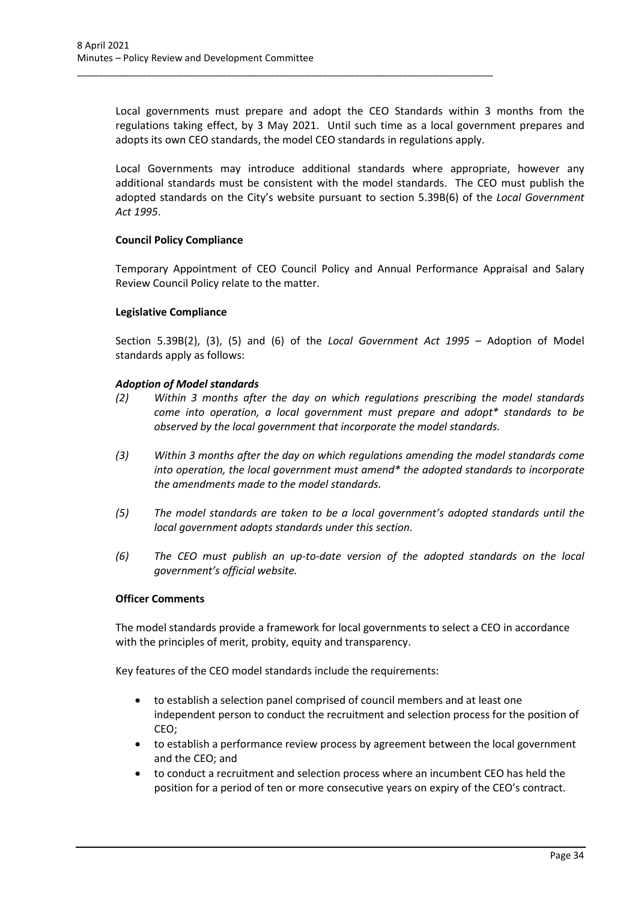Local governments must prepare and adopt the CEO Standards within 3 months from the regulations taking effect, by 3 May 2021. Until such time as a local government prepares and adopts its own CEO standards, the model CEO standards in regulations apply.

\_\_\_\_\_\_\_\_\_\_\_\_\_\_\_\_\_\_\_\_\_\_\_\_\_\_\_\_\_\_\_\_\_\_\_\_\_\_\_\_\_\_\_\_\_\_\_\_\_\_\_\_\_\_\_\_\_\_\_\_\_\_\_\_\_\_\_\_\_\_\_\_\_\_\_\_\_\_

Local Governments may introduce additional standards where appropriate, however any additional standards must be consistent with the model standards. The CEO must publish the adopted standards on the City's website pursuant to section 5.39B(6) of the *Local Government Act 1995*.

### **Council Policy Compliance**

Temporary Appointment of CEO Council Policy and Annual Performance Appraisal and Salary Review Council Policy relate to the matter.

#### **Legislative Compliance**

Section 5.39B(2), (3), (5) and (6) of the *Local Government Act 1995 –* Adoption of Model standards apply as follows:

#### *Adoption of Model standards*

- *(2) Within 3 months after the day on which regulations prescribing the model standards come into operation, a local government must prepare and adopt\* standards to be observed by the local government that incorporate the model standards.*
- *(3) Within 3 months after the day on which regulations amending the model standards come into operation, the local government must amend\* the adopted standards to incorporate the amendments made to the model standards.*
- *(5) The model standards are taken to be a local government's adopted standards until the local government adopts standards under this section.*
- *(6) The CEO must publish an up-to-date version of the adopted standards on the local government's official website.*

#### **Officer Comments**

The model standards provide a framework for local governments to select a CEO in accordance with the principles of merit, probity, equity and transparency.

Key features of the CEO model standards include the requirements:

- to establish a selection panel comprised of council members and at least one independent person to conduct the recruitment and selection process for the position of CEO;
- to establish a performance review process by agreement between the local government and the CEO; and
- to conduct a recruitment and selection process where an incumbent CEO has held the position for a period of ten or more consecutive years on expiry of the CEO's contract.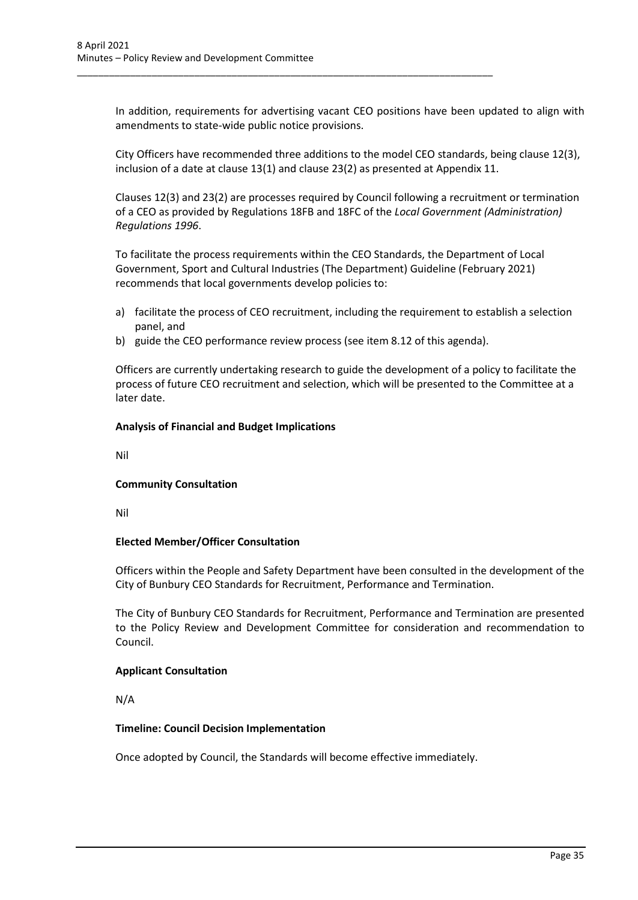In addition, requirements for advertising vacant CEO positions have been updated to align with amendments to state-wide public notice provisions.

City Officers have recommended three additions to the model CEO standards, being clause 12(3), inclusion of a date at clause 13(1) and clause 23(2) as presented at Appendix 11.

Clauses 12(3) and 23(2) are processes required by Council following a recruitment or termination of a CEO as provided by Regulations 18FB and 18FC of the *Local Government (Administration) Regulations 1996*.

To facilitate the process requirements within the CEO Standards, the Department of Local Government, Sport and Cultural Industries (The Department) Guideline (February 2021) recommends that local governments develop policies to:

- a) facilitate the process of CEO recruitment, including the requirement to establish a selection panel, and
- b) guide the CEO performance review process (see item 8.12 of this agenda).

\_\_\_\_\_\_\_\_\_\_\_\_\_\_\_\_\_\_\_\_\_\_\_\_\_\_\_\_\_\_\_\_\_\_\_\_\_\_\_\_\_\_\_\_\_\_\_\_\_\_\_\_\_\_\_\_\_\_\_\_\_\_\_\_\_\_\_\_\_\_\_\_\_\_\_\_\_\_

Officers are currently undertaking research to guide the development of a policy to facilitate the process of future CEO recruitment and selection, which will be presented to the Committee at a later date.

### **Analysis of Financial and Budget Implications**

Nil

### **Community Consultation**

Nil

### **Elected Member/Officer Consultation**

Officers within the People and Safety Department have been consulted in the development of the City of Bunbury CEO Standards for Recruitment, Performance and Termination.

The City of Bunbury CEO Standards for Recruitment, Performance and Termination are presented to the Policy Review and Development Committee for consideration and recommendation to Council.

### **Applicant Consultation**

N/A

#### **Timeline: Council Decision Implementation**

Once adopted by Council, the Standards will become effective immediately.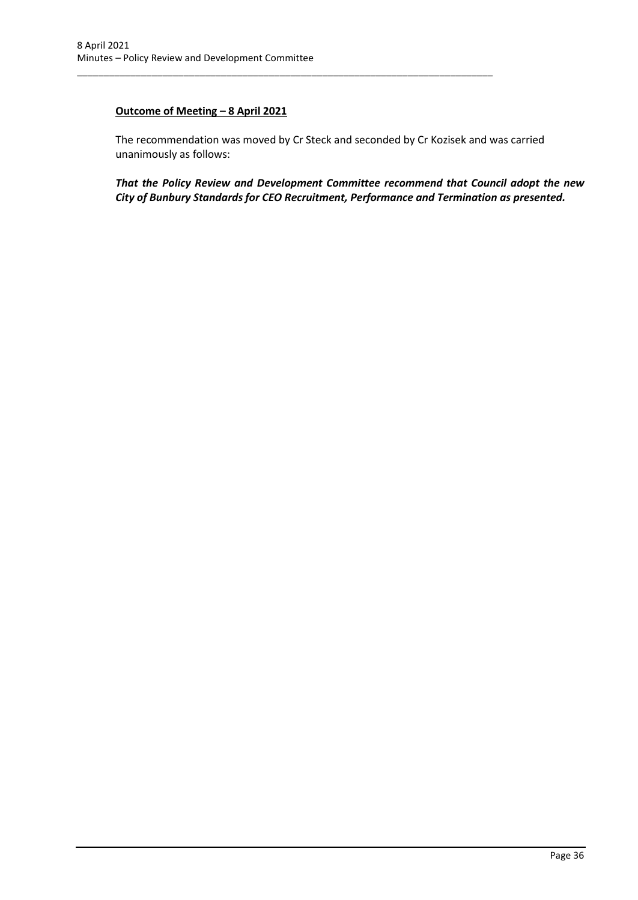### **Outcome of Meeting – 8 April 2021**

The recommendation was moved by Cr Steck and seconded by Cr Kozisek and was carried unanimously as follows:

\_\_\_\_\_\_\_\_\_\_\_\_\_\_\_\_\_\_\_\_\_\_\_\_\_\_\_\_\_\_\_\_\_\_\_\_\_\_\_\_\_\_\_\_\_\_\_\_\_\_\_\_\_\_\_\_\_\_\_\_\_\_\_\_\_\_\_\_\_\_\_\_\_\_\_\_\_\_

*That the Policy Review and Development Committee recommend that Council adopt the new City of Bunbury Standards for CEO Recruitment, Performance and Termination as presented.*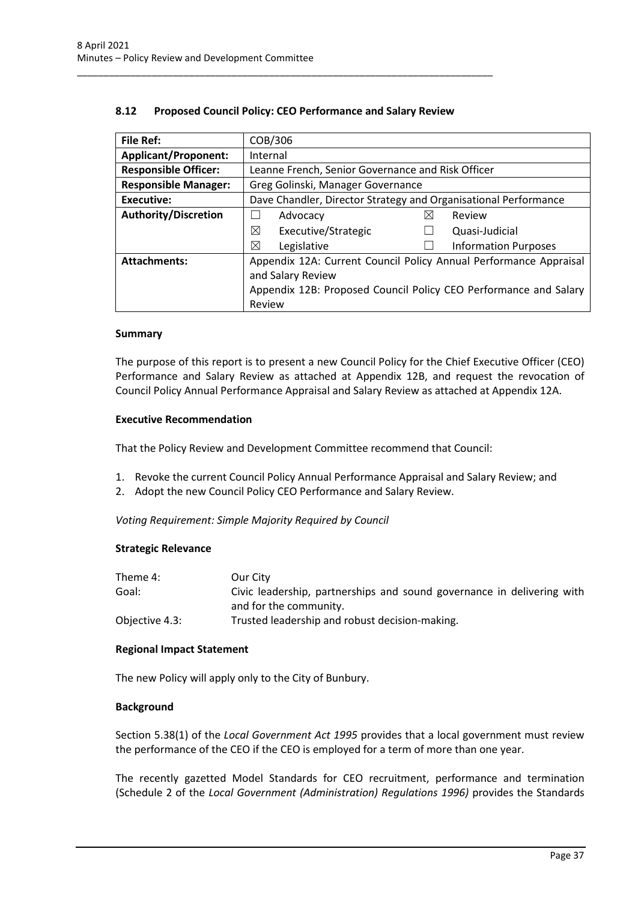| <b>File Ref:</b>            | COB/306                                                           |                             |  |
|-----------------------------|-------------------------------------------------------------------|-----------------------------|--|
| <b>Applicant/Proponent:</b> | Internal                                                          |                             |  |
| <b>Responsible Officer:</b> | Leanne French, Senior Governance and Risk Officer                 |                             |  |
| <b>Responsible Manager:</b> | Greg Golinski, Manager Governance                                 |                             |  |
| <b>Executive:</b>           | Dave Chandler, Director Strategy and Organisational Performance   |                             |  |
| <b>Authority/Discretion</b> | Advocacy                                                          | ⋉<br>Review                 |  |
|                             | ⊠<br>Executive/Strategic                                          | Quasi-Judicial              |  |
|                             | ⊠<br>Legislative                                                  | <b>Information Purposes</b> |  |
| <b>Attachments:</b>         | Appendix 12A: Current Council Policy Annual Performance Appraisal |                             |  |
|                             | and Salary Review                                                 |                             |  |
|                             | Appendix 12B: Proposed Council Policy CEO Performance and Salary  |                             |  |
|                             | Review                                                            |                             |  |

### **8.12 Proposed Council Policy: CEO Performance and Salary Review**

<span id="page-37-0"></span>\_\_\_\_\_\_\_\_\_\_\_\_\_\_\_\_\_\_\_\_\_\_\_\_\_\_\_\_\_\_\_\_\_\_\_\_\_\_\_\_\_\_\_\_\_\_\_\_\_\_\_\_\_\_\_\_\_\_\_\_\_\_\_\_\_\_\_\_\_\_\_\_\_\_\_\_\_\_

#### **Summary**

The purpose of this report is to present a new Council Policy for the Chief Executive Officer (CEO) Performance and Salary Review as attached at Appendix 12B, and request the revocation of Council Policy Annual Performance Appraisal and Salary Review as attached at Appendix 12A.

#### **Executive Recommendation**

That the Policy Review and Development Committee recommend that Council:

- 1. Revoke the current Council Policy Annual Performance Appraisal and Salary Review; and
- 2. Adopt the new Council Policy CEO Performance and Salary Review.

*Voting Requirement: Simple Majority Required by Council*

#### **Strategic Relevance**

| Theme 4:       | Our City                                                               |
|----------------|------------------------------------------------------------------------|
| Goal:          | Civic leadership, partnerships and sound governance in delivering with |
|                | and for the community.                                                 |
| Objective 4.3: | Trusted leadership and robust decision-making.                         |

#### **Regional Impact Statement**

The new Policy will apply only to the City of Bunbury.

#### **Background**

Section 5.38(1) of the *Local Government Act 1995* provides that a local government must review the performance of the CEO if the CEO is employed for a term of more than one year.

The recently gazetted Model Standards for CEO recruitment, performance and termination (Schedule 2 of the *Local Government (Administration) Regulations 1996)* provides the Standards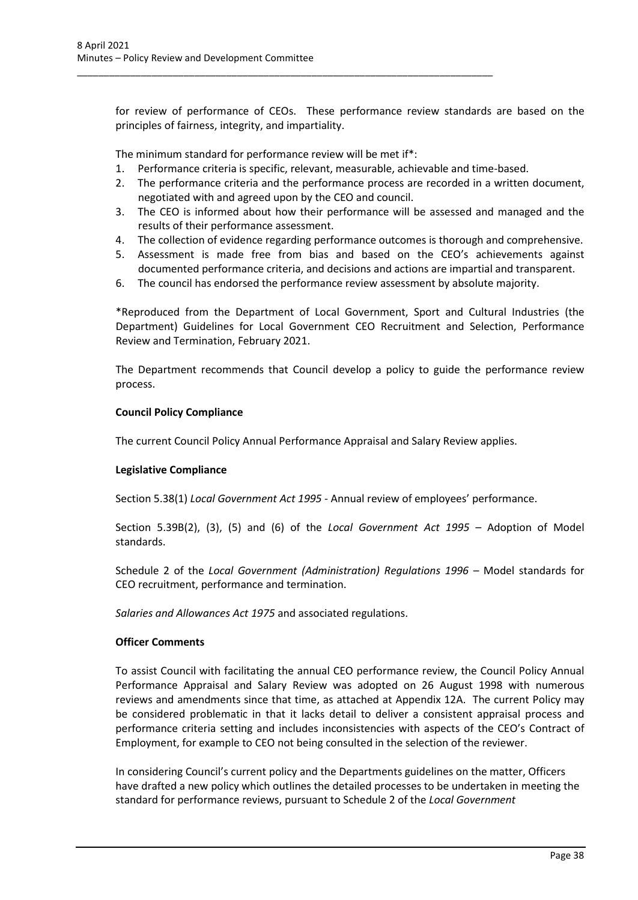for review of performance of CEOs. These performance review standards are based on the principles of fairness, integrity, and impartiality.

The minimum standard for performance review will be met if\*:

\_\_\_\_\_\_\_\_\_\_\_\_\_\_\_\_\_\_\_\_\_\_\_\_\_\_\_\_\_\_\_\_\_\_\_\_\_\_\_\_\_\_\_\_\_\_\_\_\_\_\_\_\_\_\_\_\_\_\_\_\_\_\_\_\_\_\_\_\_\_\_\_\_\_\_\_\_\_

- 1. Performance criteria is specific, relevant, measurable, achievable and time-based.
- 2. The performance criteria and the performance process are recorded in a written document, negotiated with and agreed upon by the CEO and council.
- 3. The CEO is informed about how their performance will be assessed and managed and the results of their performance assessment.
- 4. The collection of evidence regarding performance outcomes is thorough and comprehensive.
- 5. Assessment is made free from bias and based on the CEO's achievements against documented performance criteria, and decisions and actions are impartial and transparent.
- 6. The council has endorsed the performance review assessment by absolute majority.

\*Reproduced from the Department of Local Government, Sport and Cultural Industries (the Department) Guidelines for Local Government CEO Recruitment and Selection, Performance Review and Termination, February 2021.

The Department recommends that Council develop a policy to guide the performance review process.

#### **Council Policy Compliance**

The current Council Policy Annual Performance Appraisal and Salary Review applies.

#### **Legislative Compliance**

Section 5.38(1) *Local Government Act 1995* - Annual review of employees' performance.

Section 5.39B(2), (3), (5) and (6) of the *Local Government Act 1995 –* Adoption of Model standards.

Schedule 2 of the *Local Government (Administration) Regulations 1996* - Model standards for CEO recruitment, performance and termination.

*Salaries and Allowances Act 1975* and associated regulations.

#### **Officer Comments**

To assist Council with facilitating the annual CEO performance review, the Council Policy Annual Performance Appraisal and Salary Review was adopted on 26 August 1998 with numerous reviews and amendments since that time, as attached at Appendix 12A. The current Policy may be considered problematic in that it lacks detail to deliver a consistent appraisal process and performance criteria setting and includes inconsistencies with aspects of the CEO's Contract of Employment, for example to CEO not being consulted in the selection of the reviewer.

In considering Council's current policy and the Departments guidelines on the matter, Officers have drafted a new policy which outlines the detailed processes to be undertaken in meeting the standard for performance reviews, pursuant to Schedule 2 of the *Local Government*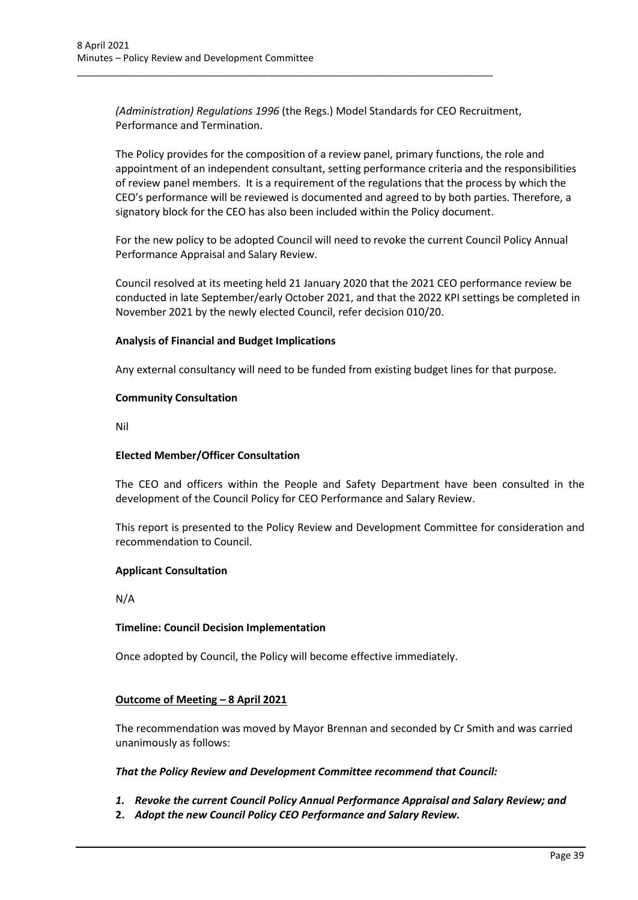*(Administration) Regulations 1996* (the Regs.) Model Standards for CEO Recruitment, Performance and Termination.

\_\_\_\_\_\_\_\_\_\_\_\_\_\_\_\_\_\_\_\_\_\_\_\_\_\_\_\_\_\_\_\_\_\_\_\_\_\_\_\_\_\_\_\_\_\_\_\_\_\_\_\_\_\_\_\_\_\_\_\_\_\_\_\_\_\_\_\_\_\_\_\_\_\_\_\_\_\_

The Policy provides for the composition of a review panel, primary functions, the role and appointment of an independent consultant, setting performance criteria and the responsibilities of review panel members. It is a requirement of the regulations that the process by which the CEO's performance will be reviewed is documented and agreed to by both parties. Therefore, a signatory block for the CEO has also been included within the Policy document.

For the new policy to be adopted Council will need to revoke the current Council Policy Annual Performance Appraisal and Salary Review.

Council resolved at its meeting held 21 January 2020 that the 2021 CEO performance review be conducted in late September/early October 2021, and that the 2022 KPI settings be completed in November 2021 by the newly elected Council, refer decision 010/20.

#### **Analysis of Financial and Budget Implications**

Any external consultancy will need to be funded from existing budget lines for that purpose.

#### **Community Consultation**

Nil

### **Elected Member/Officer Consultation**

The CEO and officers within the People and Safety Department have been consulted in the development of the Council Policy for CEO Performance and Salary Review.

This report is presented to the Policy Review and Development Committee for consideration and recommendation to Council.

#### **Applicant Consultation**

N/A

#### **Timeline: Council Decision Implementation**

Once adopted by Council, the Policy will become effective immediately.

### **Outcome of Meeting – 8 April 2021**

The recommendation was moved by Mayor Brennan and seconded by Cr Smith and was carried unanimously as follows:

#### *That the Policy Review and Development Committee recommend that Council:*

- *1. Revoke the current Council Policy Annual Performance Appraisal and Salary Review; and*
- **2.** *Adopt the new Council Policy CEO Performance and Salary Review.*